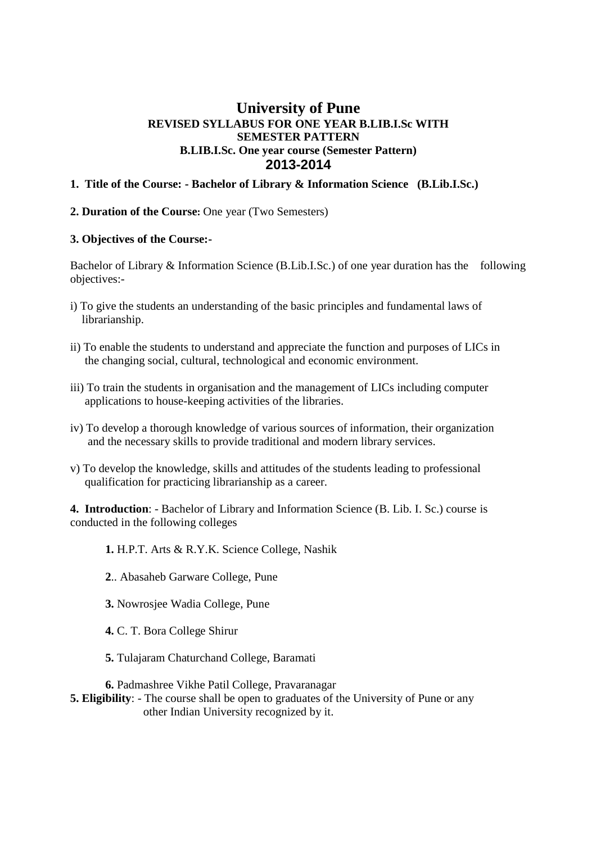# **University of Pune REVISED SYLLABUS FOR ONE YEAR B.LIB.I.Sc WITH SEMESTER PATTERN B.LIB.I.Sc. One year course (Semester Pattern) 2013-2014**

#### **1. Title of the Course: - Bachelor of Library & Information Science (B.Lib.I.Sc.)**

#### **2. Duration of the Course:** One year (Two Semesters)

#### **3. Objectives of the Course:-**

Bachelor of Library & Information Science (B.Lib.I.Sc.) of one year duration has the following objectives:-

- i) To give the students an understanding of the basic principles and fundamental laws of librarianship.
- ii) To enable the students to understand and appreciate the function and purposes of LICs in the changing social, cultural, technological and economic environment.
- iii) To train the students in organisation and the management of LICs including computer applications to house-keeping activities of the libraries.
- iv) To develop a thorough knowledge of various sources of information, their organization and the necessary skills to provide traditional and modern library services.
- v) To develop the knowledge, skills and attitudes of the students leading to professional qualification for practicing librarianship as a career.

**4. Introduction**: - Bachelor of Library and Information Science (B. Lib. I. Sc.) course is conducted in the following colleges

**1.** H.P.T. Arts & R.Y.K. Science College, Nashik

- **2**.. Abasaheb Garware College, Pune
- **3.** Nowrosjee Wadia College, Pune
- **4.** C. T. Bora College Shirur
- **5.** Tulajaram Chaturchand College, Baramati

**6.** Padmashree Vikhe Patil College, Pravaranagar

**5. Eligibility**: - The course shall be open to graduates of the University of Pune or any other Indian University recognized by it.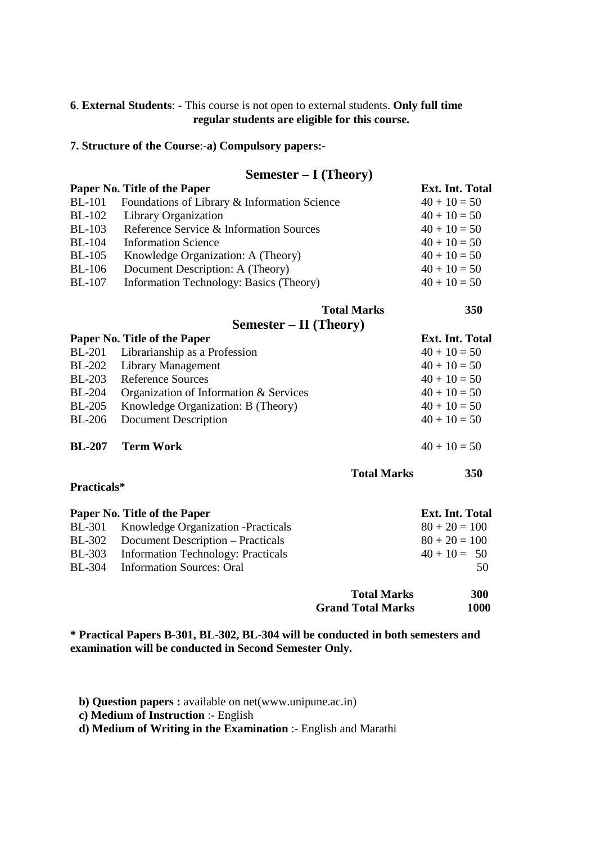#### **6**. **External Students**: - This course is not open to external students. **Only full time regular students are eligible for this course.**

#### **7. Structure of the Course**:-**a) Compulsory papers:-**

# **Semester – I (Theory)**

|               | Paper No. Title of the Paper                 | <b>Ext. Int. Total</b> |
|---------------|----------------------------------------------|------------------------|
| <b>BL-101</b> | Foundations of Library & Information Science | $40 + 10 = 50$         |
| <b>BL-102</b> | Library Organization                         | $40 + 10 = 50$         |
| <b>BL-103</b> | Reference Service & Information Sources      | $40 + 10 = 50$         |
| <b>BL-104</b> | <b>Information Science</b>                   | $40 + 10 = 50$         |
| $BL-105$      | Knowledge Organization: A (Theory)           | $40 + 10 = 50$         |
| <b>BL-106</b> | Document Description: A (Theory)             | $40 + 10 = 50$         |
| <b>BL-107</b> | Information Technology: Basics (Theory)      | $40 + 10 = 50$         |

**Semester – II (Theory)** 

 **Total Marks 350** 

 **Total Marks 350** 

|               | Paper No. Title of the Paper           | <b>Ext. Int. Total</b> |
|---------------|----------------------------------------|------------------------|
| <b>BL-201</b> | Librarianship as a Profession          | $40 + 10 = 50$         |
|               | BL-202 Library Management              | $40 + 10 = 50$         |
| <b>BL-203</b> | <b>Reference Sources</b>               | $40 + 10 = 50$         |
| <b>BL-204</b> | Organization of Information & Services | $40 + 10 = 50$         |
| <b>BL-205</b> | Knowledge Organization: B (Theory)     | $40 + 10 = 50$         |
| BL-206        | Document Description                   | $40 + 10 = 50$         |
| <b>BL-207</b> | <b>Term Work</b>                       | $40 + 10 = 50$         |

**Practicals\*** 

|        | Paper No. Title of the Paper               |                          | Ext. Int. Total |
|--------|--------------------------------------------|--------------------------|-----------------|
|        | BL-301 Knowledge Organization - Practicals |                          | $80 + 20 = 100$ |
|        | BL-302 Document Description – Practicals   |                          | $80 + 20 = 100$ |
| BL-303 | Information Technology: Practicals         |                          | $40 + 10 = 50$  |
|        | BL-304 Information Sources: Oral           |                          | 50              |
|        |                                            | <b>Total Marks</b>       | 300             |
|        |                                            | <b>Grand Total Marks</b> | 1000            |

**\* Practical Papers B-301, BL-302, BL-304 will be conducted in both semesters and examination will be conducted in Second Semester Only.** 

**b) Question papers :** available on net(www.unipune.ac.in)

**c) Medium of Instruction** :- English

**d) Medium of Writing in the Examination** :- English and Marathi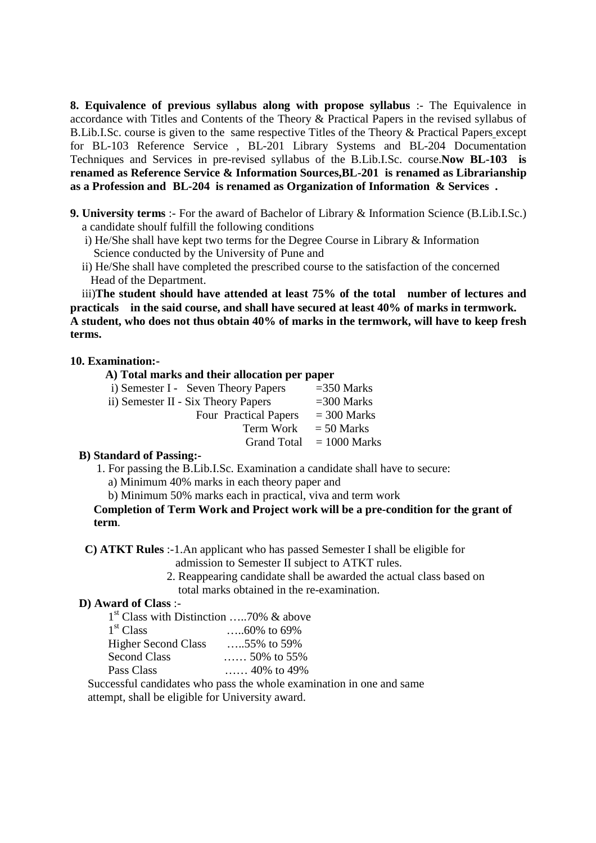**8. Equivalence of previous syllabus along with propose syllabus** :- The Equivalence in accordance with Titles and Contents of the Theory & Practical Papers in the revised syllabus of B.Lib.I.Sc. course is given to the same respective Titles of the Theory & Practical Papers except for BL-103 Reference Service , BL-201 Library Systems and BL-204 Documentation Techniques and Services in pre-revised syllabus of the B.Lib.I.Sc. course.**Now BL-103 is renamed as Reference Service & Information Sources,BL-201 is renamed as Librarianship as a Profession and BL-204 is renamed as Organization of Information & Services .** 

- **9. University terms** :- For the award of Bachelor of Library & Information Science (B.Lib.I.Sc.) a candidate shoulf fulfill the following conditions
	- i) He/She shall have kept two terms for the Degree Course in Library & Information Science conducted by the University of Pune and
	- ii) He/She shall have completed the prescribed course to the satisfaction of the concerned Head of the Department.

 iii)**The student should have attended at least 75% of the total number of lectures and practicals in the said course, and shall have secured at least 40% of marks in termwork. A student, who does not thus obtain 40% of marks in the termwork, will have to keep fresh terms.** 

#### **10. Examination:-**

| A) Total marks and their allocation per paper |                            |  |
|-----------------------------------------------|----------------------------|--|
| i) Semester I - Seven Theory Papers           | $=350$ Marks               |  |
| ii) Semester II - Six Theory Papers           | $=$ 300 Marks              |  |
| Four Practical Papers                         | $=$ 300 Marks              |  |
| Term Work                                     | $= 50$ Marks               |  |
|                                               | Grand Total $= 1000$ Marks |  |

#### **B) Standard of Passing:-**

- 1. For passing the B.Lib.I.Sc. Examination a candidate shall have to secure:
	- a) Minimum 40% marks in each theory paper and
	- b) Minimum 50% marks each in practical, viva and term work

 **Completion of Term Work and Project work will be a pre-condition for the grant of term**.

**C) ATKT Rules** :-1.An applicant who has passed Semester I shall be eligible for

- admission to Semester II subject to ATKT rules.
- 2. Reappearing candidate shall be awarded the actual class based on total marks obtained in the re-examination.

#### **D) Award of Class** :-

| $1st$ Class with Distinction  70% & above |                  |
|-------------------------------------------|------------------|
| 1 <sup>st</sup> Class                     |                  |
| <b>Higher Second Class</b>                | 55% to 59%       |
| <b>Second Class</b>                       | $50\%$ to $55\%$ |
| Pass Class                                | 40% to 49%       |

 Successful candidates who pass the whole examination in one and same attempt, shall be eligible for University award.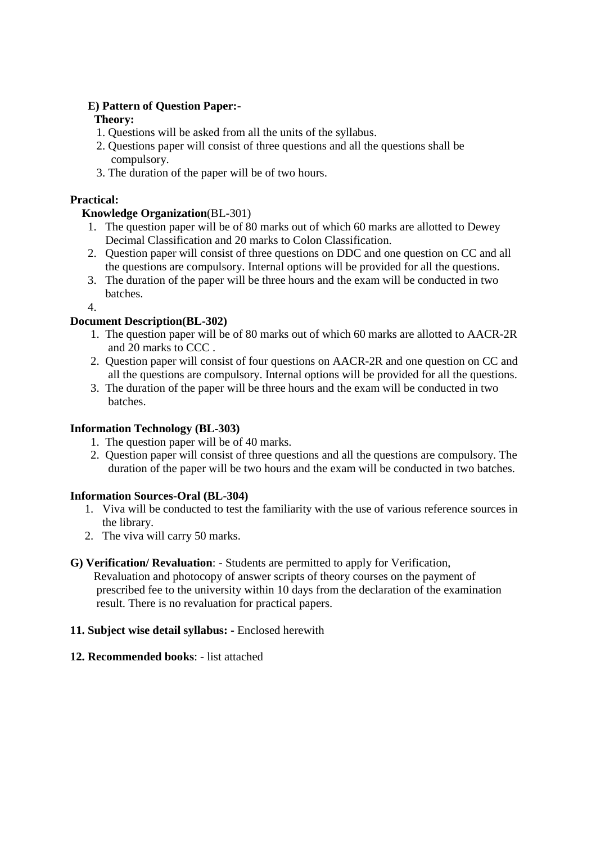# **E) Pattern of Question Paper:-**

# **Theory:**

- 1. Questions will be asked from all the units of the syllabus.
- 2. Questions paper will consist of three questions and all the questions shall be compulsory.
- 3. The duration of the paper will be of two hours.

# **Practical:**

# **Knowledge Organization**(BL-301)

- 1. The question paper will be of 80 marks out of which 60 marks are allotted to Dewey Decimal Classification and 20 marks to Colon Classification.
- 2. Question paper will consist of three questions on DDC and one question on CC and all the questions are compulsory. Internal options will be provided for all the questions.
- 3. The duration of the paper will be three hours and the exam will be conducted in two batches.

4.

# **Document Description(BL-302)**

- 1. The question paper will be of 80 marks out of which 60 marks are allotted to AACR-2R and 20 marks to CCC .
- 2. Question paper will consist of four questions on AACR-2R and one question on CC and all the questions are compulsory. Internal options will be provided for all the questions.
- 3. The duration of the paper will be three hours and the exam will be conducted in two batches.

# **Information Technology (BL-303)**

- 1. The question paper will be of 40 marks.
- 2. Question paper will consist of three questions and all the questions are compulsory. The duration of the paper will be two hours and the exam will be conducted in two batches.

# **Information Sources-Oral (BL-304)**

- 1. Viva will be conducted to test the familiarity with the use of various reference sources in the library.
- 2. The viva will carry 50 marks.

# **G) Verification/ Revaluation**: - Students are permitted to apply for Verification,

 Revaluation and photocopy of answer scripts of theory courses on the payment of prescribed fee to the university within 10 days from the declaration of the examination result. There is no revaluation for practical papers.

# **11. Subject wise detail syllabus: -** Enclosed herewith

# **12. Recommended books**: - list attached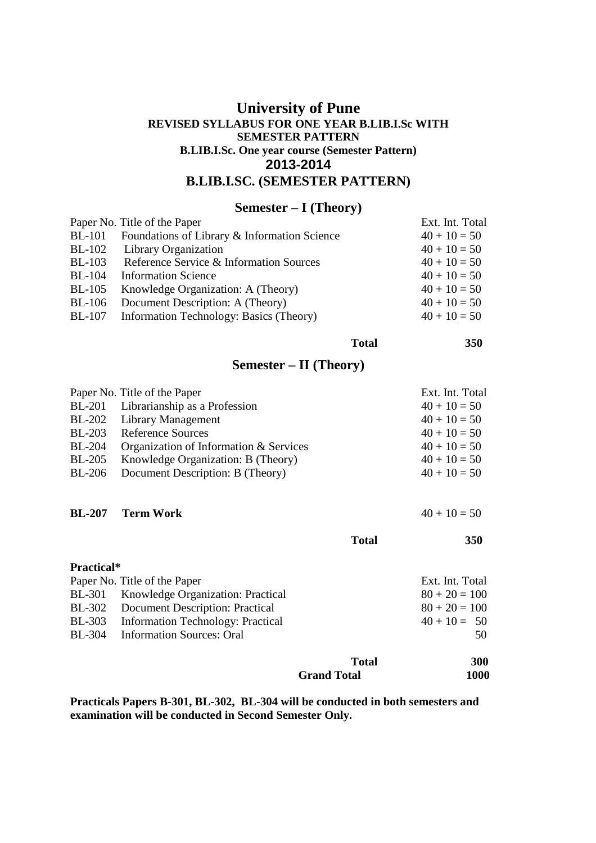# **University of Pune REVISED SYLLABUS FOR ONE YEAR B.LIB.I.Sc WITH SEMESTER PATTERN B.LIB.I.Sc. One year course (Semester Pattern) 2013-2014 B.LIB.I.SC. (SEMESTER PATTERN)**

# **Semester – I (Theory)**

|               | Paper No. Title of the Paper                 | Ext. Int. Total |
|---------------|----------------------------------------------|-----------------|
| <b>BL-101</b> | Foundations of Library & Information Science | $40 + 10 = 50$  |
| <b>BL-102</b> | Library Organization                         | $40 + 10 = 50$  |
| <b>BL-103</b> | Reference Service & Information Sources      | $40 + 10 = 50$  |
| <b>BL-104</b> | <b>Information Science</b>                   | $40 + 10 = 50$  |
| $BL-105$      | Knowledge Organization: A (Theory)           | $40 + 10 = 50$  |
| $BL-106$      | Document Description: A (Theory)             | $40 + 10 = 50$  |
| <b>BL-107</b> | Information Technology: Basics (Theory)      | $40 + 10 = 50$  |
|               |                                              |                 |

**Total 350** 

# **Semester – II (Theory)**

|               | Paper No. Title of the Paper           | Ext. Int. Total |
|---------------|----------------------------------------|-----------------|
|               | BL-201 Librarianship as a Profession   | $40 + 10 = 50$  |
|               | BL-202 Library Management              | $40 + 10 = 50$  |
|               | BL-203 Reference Sources               | $40 + 10 = 50$  |
| <b>BL-204</b> | Organization of Information & Services | $40 + 10 = 50$  |
| <b>BL-205</b> | Knowledge Organization: B (Theory)     | $40 + 10 = 50$  |
| <b>BL-206</b> | Document Description: B (Theory)       | $40 + 10 = 50$  |
|               |                                        |                 |

#### **BL-207** Term Work  $40 + 10 = 50$

| <b>Practical*</b>                               |                                          |                 |
|-------------------------------------------------|------------------------------------------|-----------------|
| Paper No. Title of the Paper<br>Ext. Int. Total |                                          |                 |
|                                                 | BL-301 Knowledge Organization: Practical | $80 + 20 = 100$ |
|                                                 | BL-302 Document Description: Practical   | $80 + 20 = 100$ |
|                                                 | BL-303 Information Technology: Practical | $40 + 10 = 50$  |
|                                                 | BL-304 Information Sources: Oral         | 50              |
|                                                 |                                          |                 |

**Total 350** 

|                    | 300<br><b>Total</b> |
|--------------------|---------------------|
| <b>Grand Total</b> | 1000                |

**Practicals Papers B-301, BL-302, BL-304 will be conducted in both semesters and examination will be conducted in Second Semester Only.**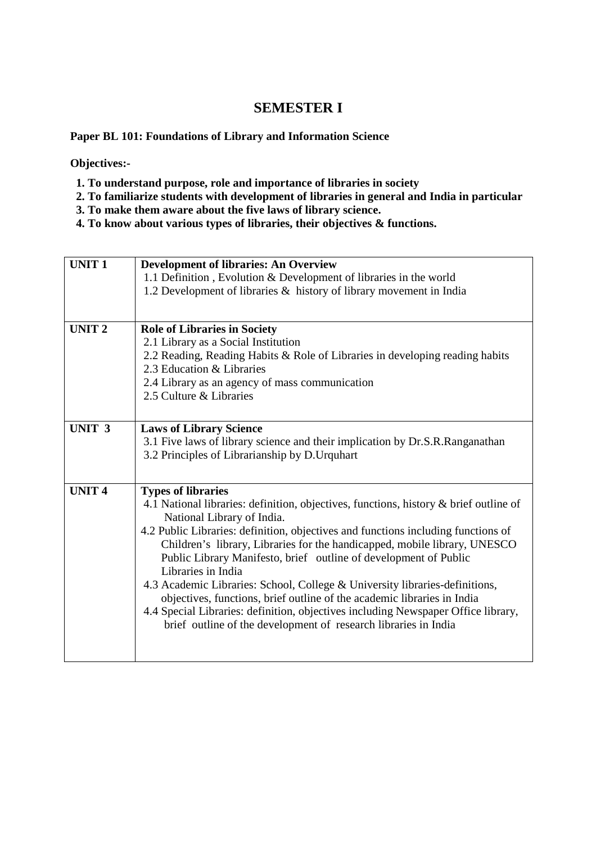# **SEMESTER I**

#### **Paper BL 101: Foundations of Library and Information Science**

**Objectives:-** 

- **1. To understand purpose, role and importance of libraries in society**
- **2. To familiarize students with development of libraries in general and India in particular**
- **3. To make them aware about the five laws of library science.**
- **4. To know about various types of libraries, their objectives & functions.**

| <b>UNIT1</b>      | <b>Development of libraries: An Overview</b><br>1.1 Definition, Evolution & Development of libraries in the world<br>1.2 Development of libraries & history of library movement in India                                                                                                                                                                                                                                                                                                                                                                                                                                                                                                                                       |
|-------------------|--------------------------------------------------------------------------------------------------------------------------------------------------------------------------------------------------------------------------------------------------------------------------------------------------------------------------------------------------------------------------------------------------------------------------------------------------------------------------------------------------------------------------------------------------------------------------------------------------------------------------------------------------------------------------------------------------------------------------------|
| <b>UNIT 2</b>     | <b>Role of Libraries in Society</b><br>2.1 Library as a Social Institution<br>2.2 Reading, Reading Habits & Role of Libraries in developing reading habits<br>2.3 Education & Libraries<br>2.4 Library as an agency of mass communication<br>2.5 Culture & Libraries                                                                                                                                                                                                                                                                                                                                                                                                                                                           |
| UNIT <sub>3</sub> | <b>Laws of Library Science</b><br>3.1 Five laws of library science and their implication by Dr.S.R.Ranganathan<br>3.2 Principles of Librarianship by D. Urquhart                                                                                                                                                                                                                                                                                                                                                                                                                                                                                                                                                               |
| <b>UNIT 4</b>     | <b>Types of libraries</b><br>4.1 National libraries: definition, objectives, functions, history & brief outline of<br>National Library of India.<br>4.2 Public Libraries: definition, objectives and functions including functions of<br>Children's library, Libraries for the handicapped, mobile library, UNESCO<br>Public Library Manifesto, brief outline of development of Public<br>Libraries in India<br>4.3 Academic Libraries: School, College & University libraries-definitions,<br>objectives, functions, brief outline of the academic libraries in India<br>4.4 Special Libraries: definition, objectives including Newspaper Office library,<br>brief outline of the development of research libraries in India |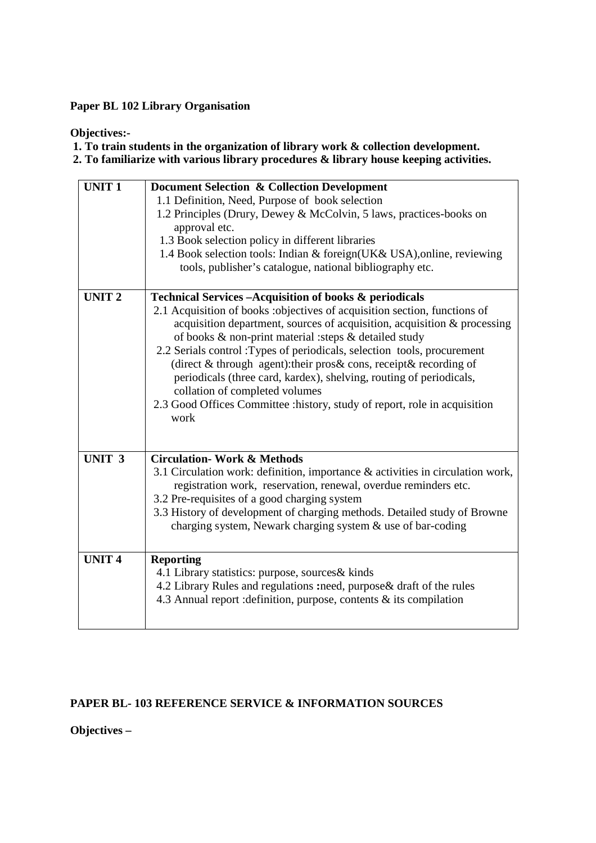#### **Paper BL 102 Library Organisation**

#### **Objectives:-**

 **1. To train students in the organization of library work & collection development. 2. To familiarize with various library procedures & library house keeping activities.** 

**UNIT 1 Document Selection & Collection Development**  1.1 Definition, Need, Purpose of book selection 1.2 Principles (Drury, Dewey & McColvin, 5 laws, practices-books on approval etc. 1.3 Book selection policy in different libraries 1.4 Book selection tools: Indian & foreign(UK& USA),online, reviewing tools, publisher's catalogue, national bibliography etc. **UNIT 2 Technical Services –Acquisition of books & periodicals**  2.1 Acquisition of books :objectives of acquisition section, functions of acquisition department, sources of acquisition, acquisition & processing of books & non-print material :steps & detailed study 2.2 Serials control :Types of periodicals, selection tools, procurement (direct & through agent):their pros& cons, receipt& recording of periodicals (three card, kardex), shelving, routing of periodicals, collation of completed volumes 2.3 Good Offices Committee :history, study of report, role in acquisition work **UNIT 3 Circulation- Work & Methods**  3.1 Circulation work: definition, importance & activities in circulation work, registration work, reservation, renewal, overdue reminders etc. 3.2 Pre-requisites of a good charging system 3.3 History of development of charging methods. Detailed study of Browne charging system, Newark charging system & use of bar-coding **UNIT 4 Reporting**  4.1 Library statistics: purpose, sources& kinds 4.2 Library Rules and regulations **:**need, purpose& draft of the rules 4.3 Annual report :definition, purpose, contents & its compilation

# **PAPER BL- 103 REFERENCE SERVICE & INFORMATION SOURCES**

**Objectives –**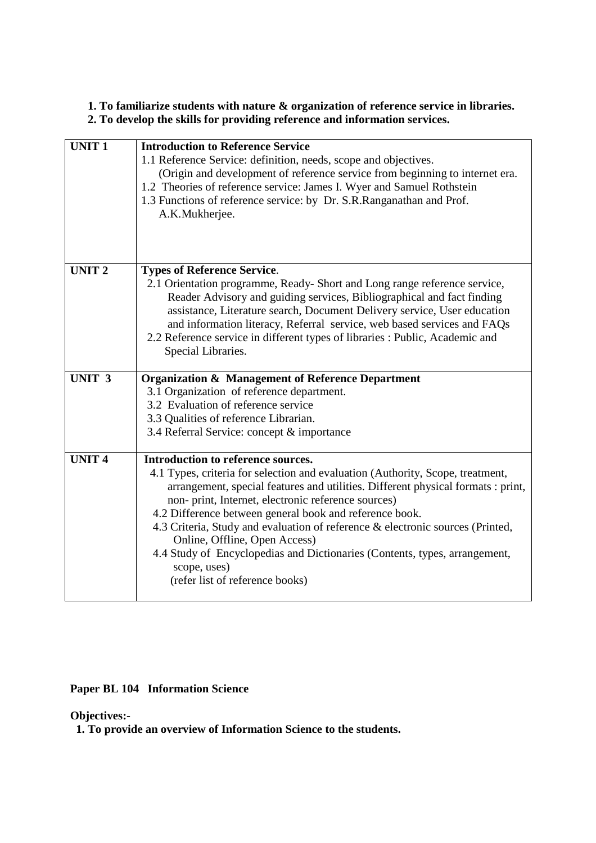# **1. To familiarize students with nature & organization of reference service in libraries. 2. To develop the skills for providing reference and information services.**

| <b>UNIT1</b>      | <b>Introduction to Reference Service</b><br>1.1 Reference Service: definition, needs, scope and objectives.<br>(Origin and development of reference service from beginning to internet era.<br>1.2 Theories of reference service: James I. Wyer and Samuel Rothstein<br>1.3 Functions of reference service: by Dr. S.R.Ranganathan and Prof.<br>A.K.Mukherjee.                                                                                                                                                                                                                 |
|-------------------|--------------------------------------------------------------------------------------------------------------------------------------------------------------------------------------------------------------------------------------------------------------------------------------------------------------------------------------------------------------------------------------------------------------------------------------------------------------------------------------------------------------------------------------------------------------------------------|
| <b>UNIT 2</b>     | <b>Types of Reference Service.</b>                                                                                                                                                                                                                                                                                                                                                                                                                                                                                                                                             |
|                   | 2.1 Orientation programme, Ready-Short and Long range reference service,<br>Reader Advisory and guiding services, Bibliographical and fact finding<br>assistance, Literature search, Document Delivery service, User education<br>and information literacy, Referral service, web based services and FAQs<br>2.2 Reference service in different types of libraries : Public, Academic and<br>Special Libraries.                                                                                                                                                                |
| UNIT <sub>3</sub> | <b>Organization &amp; Management of Reference Department</b>                                                                                                                                                                                                                                                                                                                                                                                                                                                                                                                   |
|                   | 3.1 Organization of reference department.                                                                                                                                                                                                                                                                                                                                                                                                                                                                                                                                      |
|                   | 3.2 Evaluation of reference service<br>3.3 Qualities of reference Librarian.                                                                                                                                                                                                                                                                                                                                                                                                                                                                                                   |
|                   | 3.4 Referral Service: concept & importance                                                                                                                                                                                                                                                                                                                                                                                                                                                                                                                                     |
|                   |                                                                                                                                                                                                                                                                                                                                                                                                                                                                                                                                                                                |
| <b>UNIT4</b>      | Introduction to reference sources.<br>4.1 Types, criteria for selection and evaluation (Authority, Scope, treatment,<br>arrangement, special features and utilities. Different physical formats : print,<br>non- print, Internet, electronic reference sources)<br>4.2 Difference between general book and reference book.<br>4.3 Criteria, Study and evaluation of reference & electronic sources (Printed,<br>Online, Offline, Open Access)<br>4.4 Study of Encyclopedias and Dictionaries (Contents, types, arrangement,<br>scope, uses)<br>(refer list of reference books) |

**Paper BL 104 Information Science** 

**Objectives:-** 

 **1. To provide an overview of Information Science to the students.**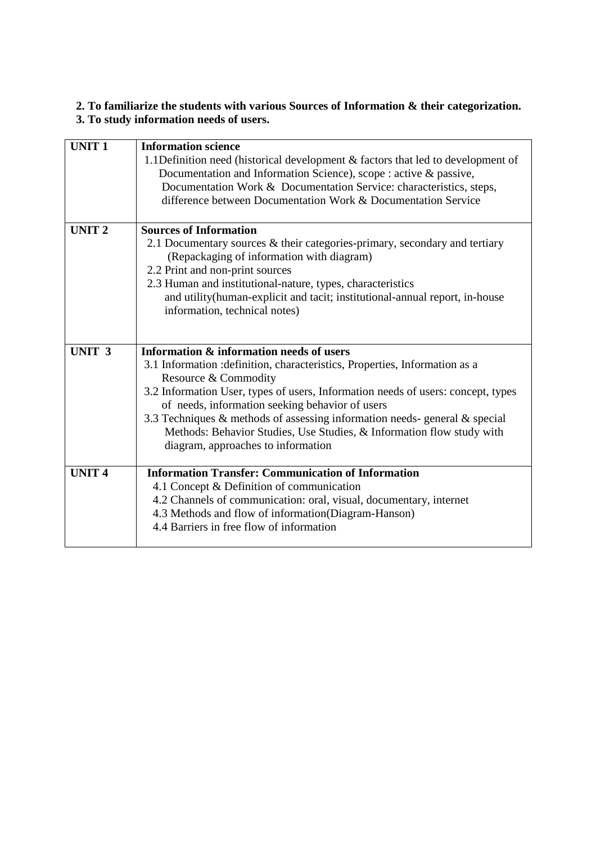# **2. To familiarize the students with various Sources of Information & their categorization. 3. To study information needs of users.**

| <b>UNIT1</b>      | <b>Information science</b><br>1.1 Definition need (historical development & factors that led to development of<br>Documentation and Information Science), scope : active & passive,<br>Documentation Work & Documentation Service: characteristics, steps,<br>difference between Documentation Work & Documentation Service                                                                                                                                                            |
|-------------------|----------------------------------------------------------------------------------------------------------------------------------------------------------------------------------------------------------------------------------------------------------------------------------------------------------------------------------------------------------------------------------------------------------------------------------------------------------------------------------------|
| <b>UNIT2</b>      | <b>Sources of Information</b><br>2.1 Documentary sources & their categories-primary, secondary and tertiary<br>(Repackaging of information with diagram)<br>2.2 Print and non-print sources<br>2.3 Human and institutional-nature, types, characteristics<br>and utility(human-explicit and tacit; institutional-annual report, in-house<br>information, technical notes)                                                                                                              |
| UNIT <sub>3</sub> | Information & information needs of users<br>3.1 Information : definition, characteristics, Properties, Information as a<br>Resource & Commodity<br>3.2 Information User, types of users, Information needs of users: concept, types<br>of needs, information seeking behavior of users<br>3.3 Techniques $&$ methods of assessing information needs-general $&$ special<br>Methods: Behavior Studies, Use Studies, & Information flow study with<br>diagram, approaches to information |
| <b>UNIT 4</b>     | <b>Information Transfer: Communication of Information</b><br>4.1 Concept & Definition of communication<br>4.2 Channels of communication: oral, visual, documentary, internet<br>4.3 Methods and flow of information(Diagram-Hanson)<br>4.4 Barriers in free flow of information                                                                                                                                                                                                        |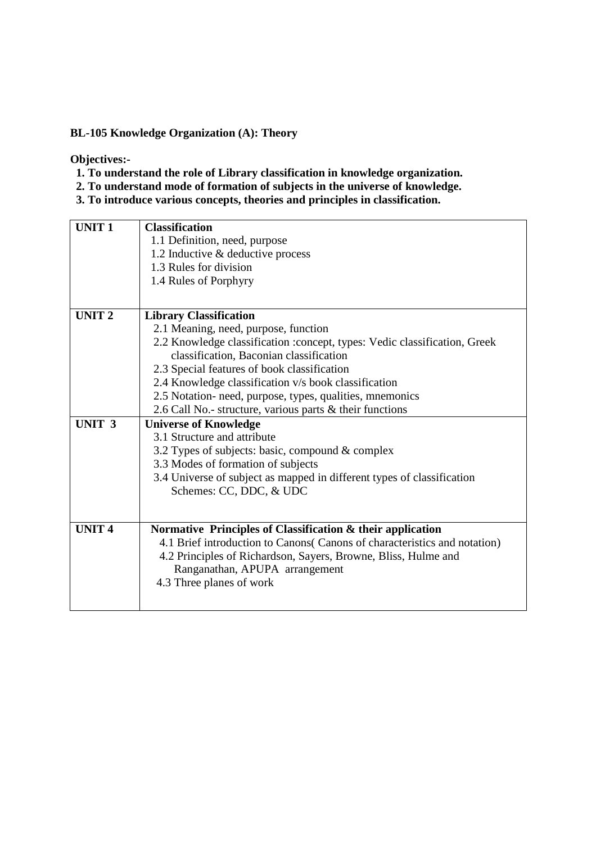#### **BL-105 Knowledge Organization (A): Theory**

**Objectives:-** 

- **1. To understand the role of Library classification in knowledge organization.**
- **2. To understand mode of formation of subjects in the universe of knowledge.**
- **3. To introduce various concepts, theories and principles in classification.**

| 1.1 Definition, need, purpose<br>1.2 Inductive & deductive process<br>1.3 Rules for division<br>1.4 Rules of Porphyry<br>UNIT <sub>2</sub><br><b>Library Classification</b><br>2.1 Meaning, need, purpose, function<br>2.2 Knowledge classification :concept, types: Vedic classification, Greek<br>classification, Baconian classification |
|---------------------------------------------------------------------------------------------------------------------------------------------------------------------------------------------------------------------------------------------------------------------------------------------------------------------------------------------|
|                                                                                                                                                                                                                                                                                                                                             |
|                                                                                                                                                                                                                                                                                                                                             |
|                                                                                                                                                                                                                                                                                                                                             |
|                                                                                                                                                                                                                                                                                                                                             |
|                                                                                                                                                                                                                                                                                                                                             |
|                                                                                                                                                                                                                                                                                                                                             |
|                                                                                                                                                                                                                                                                                                                                             |
|                                                                                                                                                                                                                                                                                                                                             |
|                                                                                                                                                                                                                                                                                                                                             |
| 2.3 Special features of book classification                                                                                                                                                                                                                                                                                                 |
| 2.4 Knowledge classification v/s book classification                                                                                                                                                                                                                                                                                        |
| 2.5 Notation- need, purpose, types, qualities, mnemonics                                                                                                                                                                                                                                                                                    |
| 2.6 Call No.- structure, various parts & their functions                                                                                                                                                                                                                                                                                    |
| UNIT <sub>3</sub><br><b>Universe of Knowledge</b>                                                                                                                                                                                                                                                                                           |
| 3.1 Structure and attribute                                                                                                                                                                                                                                                                                                                 |
| 3.2 Types of subjects: basic, compound & complex                                                                                                                                                                                                                                                                                            |
| 3.3 Modes of formation of subjects                                                                                                                                                                                                                                                                                                          |
| 3.4 Universe of subject as mapped in different types of classification                                                                                                                                                                                                                                                                      |
| Schemes: CC, DDC, & UDC                                                                                                                                                                                                                                                                                                                     |
|                                                                                                                                                                                                                                                                                                                                             |
| <b>UNIT4</b><br>Normative Principles of Classification & their application                                                                                                                                                                                                                                                                  |
| 4.1 Brief introduction to Canons Canons of characteristics and notation)                                                                                                                                                                                                                                                                    |
| 4.2 Principles of Richardson, Sayers, Browne, Bliss, Hulme and                                                                                                                                                                                                                                                                              |
| Ranganathan, APUPA arrangement                                                                                                                                                                                                                                                                                                              |
| 4.3 Three planes of work                                                                                                                                                                                                                                                                                                                    |
|                                                                                                                                                                                                                                                                                                                                             |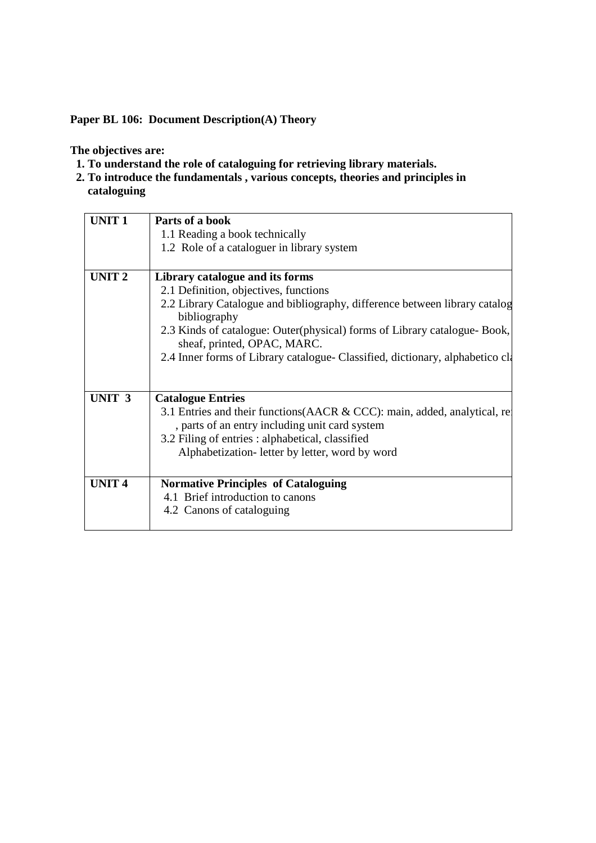**Paper BL 106: Document Description(A) Theory** 

**The objectives are:** 

- **1. To understand the role of cataloguing for retrieving library materials.**
- **2. To introduce the fundamentals , various concepts, theories and principles in cataloguing**

| <b>UNIT1</b>      | Parts of a book                                                                                          |
|-------------------|----------------------------------------------------------------------------------------------------------|
|                   | 1.1 Reading a book technically                                                                           |
|                   | 1.2 Role of a cataloguer in library system                                                               |
| UNIT <sub>2</sub> | Library catalogue and its forms                                                                          |
|                   | 2.1 Definition, objectives, functions                                                                    |
|                   | 2.2 Library Catalogue and bibliography, difference between library catalog<br>bibliography               |
|                   | 2.3 Kinds of catalogue: Outer(physical) forms of Library catalogue- Book,<br>sheaf, printed, OPAC, MARC. |
|                   | 2.4 Inner forms of Library catalogue- Classified, dictionary, alphabetico cla                            |
| UNIT <sub>3</sub> | <b>Catalogue Entries</b>                                                                                 |
|                   | 3.1 Entries and their functions (AACR & CCC): main, added, analytical, re-                               |
|                   |                                                                                                          |
|                   | , parts of an entry including unit card system                                                           |
|                   | 3.2 Filing of entries : alphabetical, classified                                                         |
|                   | Alphabetization-letter by letter, word by word                                                           |
| <b>UNIT4</b>      | <b>Normative Principles of Cataloguing</b>                                                               |
|                   | 4.1 Brief introduction to canons                                                                         |
|                   | 4.2 Canons of cataloguing                                                                                |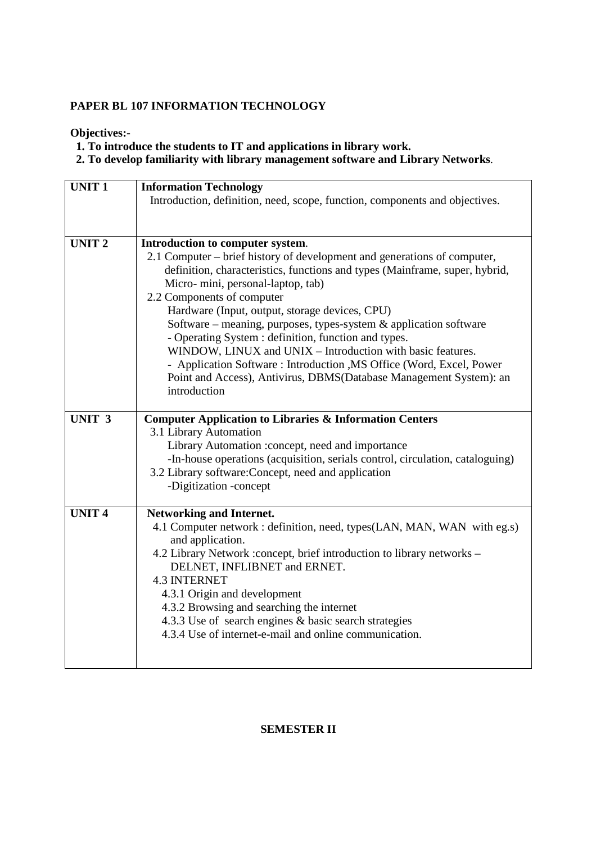# **PAPER BL 107 INFORMATION TECHNOLOGY**

**Objectives:-** 

 **1. To introduce the students to IT and applications in library work.** 

 **2. To develop familiarity with library management software and Library Networks**.

| <b>UNIT1</b>      | <b>Information Technology</b>                                                                                                                           |
|-------------------|---------------------------------------------------------------------------------------------------------------------------------------------------------|
|                   | Introduction, definition, need, scope, function, components and objectives.                                                                             |
|                   |                                                                                                                                                         |
| <b>UNIT2</b>      | Introduction to computer system.                                                                                                                        |
|                   | 2.1 Computer – brief history of development and generations of computer,<br>definition, characteristics, functions and types (Mainframe, super, hybrid, |
|                   | Micro-mini, personal-laptop, tab)                                                                                                                       |
|                   | 2.2 Components of computer                                                                                                                              |
|                   | Hardware (Input, output, storage devices, CPU)                                                                                                          |
|                   | Software – meaning, purposes, types-system & application software                                                                                       |
|                   | - Operating System : definition, function and types.                                                                                                    |
|                   | WINDOW, LINUX and UNIX - Introduction with basic features.<br>- Application Software: Introduction , MS Office (Word, Excel, Power                      |
|                   | Point and Access), Antivirus, DBMS(Database Management System): an                                                                                      |
|                   | introduction                                                                                                                                            |
|                   |                                                                                                                                                         |
| UNIT <sub>3</sub> | <b>Computer Application to Libraries &amp; Information Centers</b>                                                                                      |
|                   | 3.1 Library Automation                                                                                                                                  |
|                   | Library Automation :concept, need and importance<br>-In-house operations (acquisition, serials control, circulation, cataloguing)                       |
|                   | 3.2 Library software: Concept, need and application                                                                                                     |
|                   | -Digitization -concept                                                                                                                                  |
|                   |                                                                                                                                                         |
| <b>UNIT4</b>      | <b>Networking and Internet.</b>                                                                                                                         |
|                   | 4.1 Computer network : definition, need, types(LAN, MAN, WAN with eg.s)<br>and application.                                                             |
|                   | 4.2 Library Network :concept, brief introduction to library networks -                                                                                  |
|                   | DELNET, INFLIBNET and ERNET.                                                                                                                            |
|                   | <b>4.3 INTERNET</b>                                                                                                                                     |
|                   | 4.3.1 Origin and development                                                                                                                            |
|                   | 4.3.2 Browsing and searching the internet                                                                                                               |
|                   | 4.3.3 Use of search engines & basic search strategies                                                                                                   |
|                   | 4.3.4 Use of internet-e-mail and online communication.                                                                                                  |
|                   |                                                                                                                                                         |

# **SEMESTER II**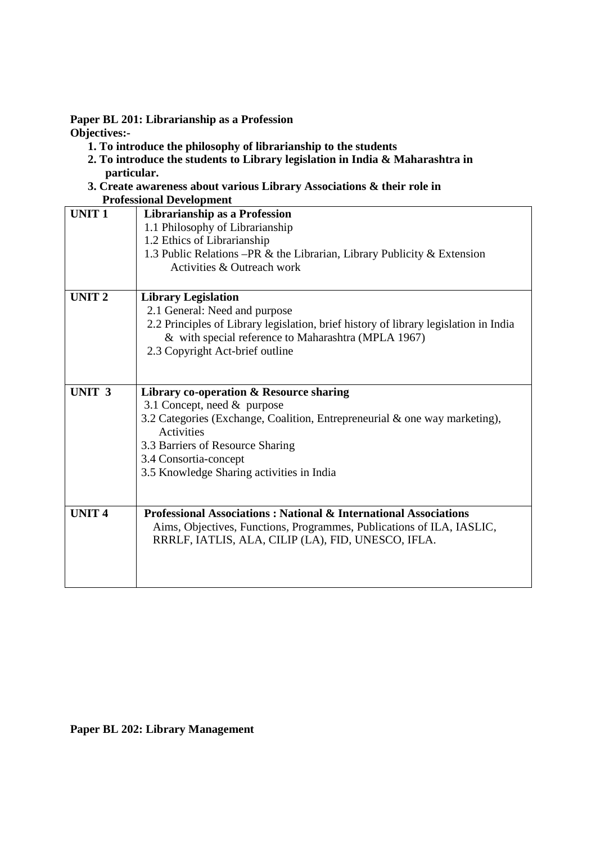**Paper BL 201: Librarianship as a Profession Objectives:-** 

- **1. To introduce the philosophy of librarianship to the students**
- **2. To introduce the students to Library legislation in India & Maharashtra in particular.**
- **3. Create awareness about various Library Associations & their role in Professional Development**

| т готевятнаг деусторитент |                                                                                                 |  |  |
|---------------------------|-------------------------------------------------------------------------------------------------|--|--|
| <b>UNIT1</b>              | Librarianship as a Profession                                                                   |  |  |
|                           | 1.1 Philosophy of Librarianship                                                                 |  |  |
|                           | 1.2 Ethics of Librarianship                                                                     |  |  |
|                           | 1.3 Public Relations – PR & the Librarian, Library Publicity & Extension                        |  |  |
|                           | Activities & Outreach work                                                                      |  |  |
|                           |                                                                                                 |  |  |
| <b>UNIT 2</b>             | <b>Library Legislation</b>                                                                      |  |  |
|                           | 2.1 General: Need and purpose                                                                   |  |  |
|                           | 2.2 Principles of Library legislation, brief history of library legislation in India            |  |  |
|                           | & with special reference to Maharashtra (MPLA 1967)                                             |  |  |
|                           | 2.3 Copyright Act-brief outline                                                                 |  |  |
|                           |                                                                                                 |  |  |
|                           |                                                                                                 |  |  |
| UNIT <sub>3</sub>         | Library co-operation & Resource sharing                                                         |  |  |
|                           | 3.1 Concept, need & purpose                                                                     |  |  |
|                           | 3.2 Categories (Exchange, Coalition, Entrepreneurial & one way marketing),<br><b>Activities</b> |  |  |
|                           | 3.3 Barriers of Resource Sharing                                                                |  |  |
|                           | 3.4 Consortia-concept                                                                           |  |  |
|                           | 3.5 Knowledge Sharing activities in India                                                       |  |  |
|                           |                                                                                                 |  |  |
|                           |                                                                                                 |  |  |
| <b>UNIT 4</b>             | <b>Professional Associations: National &amp; International Associations</b>                     |  |  |
|                           | Aims, Objectives, Functions, Programmes, Publications of ILA, IASLIC,                           |  |  |
|                           | RRRLF, IATLIS, ALA, CILIP (LA), FID, UNESCO, IFLA.                                              |  |  |
|                           |                                                                                                 |  |  |
|                           |                                                                                                 |  |  |
|                           |                                                                                                 |  |  |

**Paper BL 202: Library Management**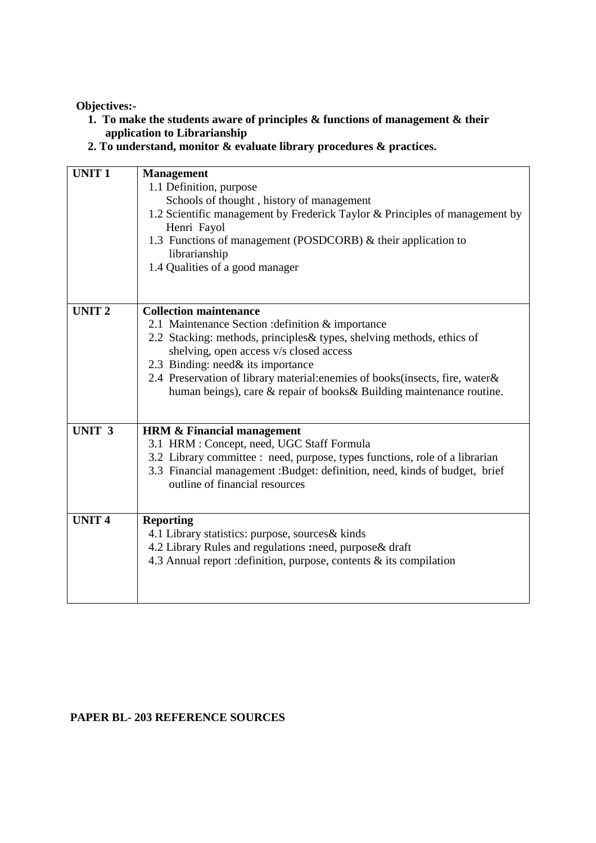- **1. To make the students aware of principles & functions of management & their application to Librarianship**
- **2. To understand, monitor & evaluate library procedures & practices.**

| <b>UNIT1</b>      | <b>Management</b><br>1.1 Definition, purpose<br>Schools of thought, history of management<br>1.2 Scientific management by Frederick Taylor & Principles of management by<br>Henri Fayol<br>1.3 Functions of management (POSDCORB) & their application to<br>librarianship<br>1.4 Qualities of a good manager                                                                                           |
|-------------------|--------------------------------------------------------------------------------------------------------------------------------------------------------------------------------------------------------------------------------------------------------------------------------------------------------------------------------------------------------------------------------------------------------|
| <b>UNIT 2</b>     | <b>Collection maintenance</b><br>2.1 Maintenance Section : definition & importance<br>2.2 Stacking: methods, principles& types, shelving methods, ethics of<br>shelving, open access v/s closed access<br>2.3 Binding: need & its importance<br>2.4 Preservation of library material: enemies of books (insects, fire, water &<br>human beings), care & repair of books& Building maintenance routine. |
| UNIT <sub>3</sub> | <b>HRM &amp; Financial management</b><br>3.1 HRM : Concept, need, UGC Staff Formula<br>3.2 Library committee : need, purpose, types functions, role of a librarian<br>3.3 Financial management :Budget: definition, need, kinds of budget, brief<br>outline of financial resources                                                                                                                     |
| <b>UNIT4</b>      | <b>Reporting</b><br>4.1 Library statistics: purpose, sources& kinds<br>4.2 Library Rules and regulations :need, purpose& draft<br>4.3 Annual report : definition, purpose, contents $\&$ its compilation                                                                                                                                                                                               |

# **PAPER BL- 203 REFERENCE SOURCES**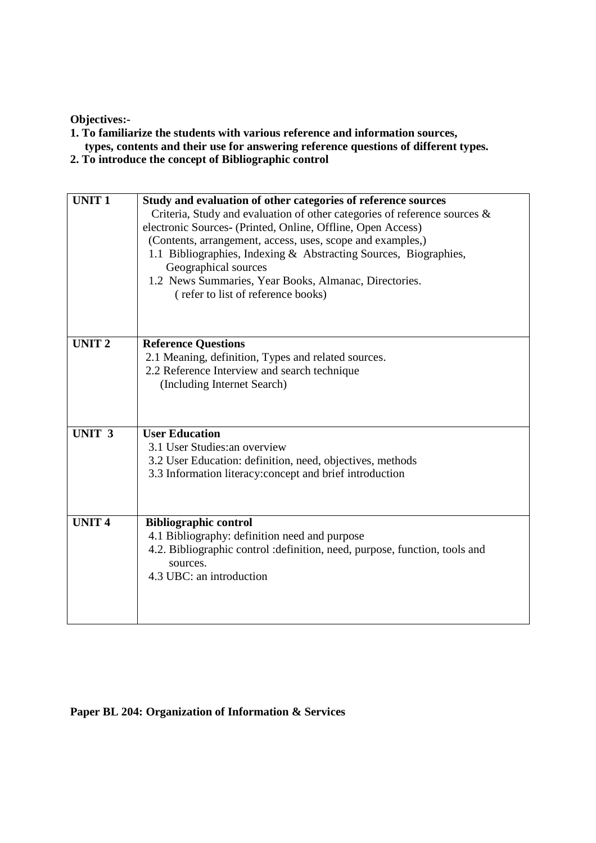- **1. To familiarize the students with various reference and information sources, types, contents and their use for answering reference questions of different types.**
- **2. To introduce the concept of Bibliographic control**

| <b>UNIT1</b>      | Study and evaluation of other categories of reference sources<br>Criteria, Study and evaluation of other categories of reference sources $\&$<br>electronic Sources- (Printed, Online, Offline, Open Access)<br>(Contents, arrangement, access, uses, scope and examples,)<br>1.1 Bibliographies, Indexing & Abstracting Sources, Biographies,<br>Geographical sources<br>1.2 News Summaries, Year Books, Almanac, Directories. |
|-------------------|---------------------------------------------------------------------------------------------------------------------------------------------------------------------------------------------------------------------------------------------------------------------------------------------------------------------------------------------------------------------------------------------------------------------------------|
|                   | (refer to list of reference books)                                                                                                                                                                                                                                                                                                                                                                                              |
| <b>UNIT2</b>      | <b>Reference Questions</b><br>2.1 Meaning, definition, Types and related sources.<br>2.2 Reference Interview and search technique<br>(Including Internet Search)                                                                                                                                                                                                                                                                |
| UNIT <sub>3</sub> | <b>User Education</b><br>3.1 User Studies: an overview<br>3.2 User Education: definition, need, objectives, methods<br>3.3 Information literacy: concept and brief introduction                                                                                                                                                                                                                                                 |
| <b>UNIT4</b>      | <b>Bibliographic control</b><br>4.1 Bibliography: definition need and purpose<br>4.2. Bibliographic control : definition, need, purpose, function, tools and<br>sources.<br>4.3 UBC: an introduction                                                                                                                                                                                                                            |

# **Paper BL 204: Organization of Information & Services**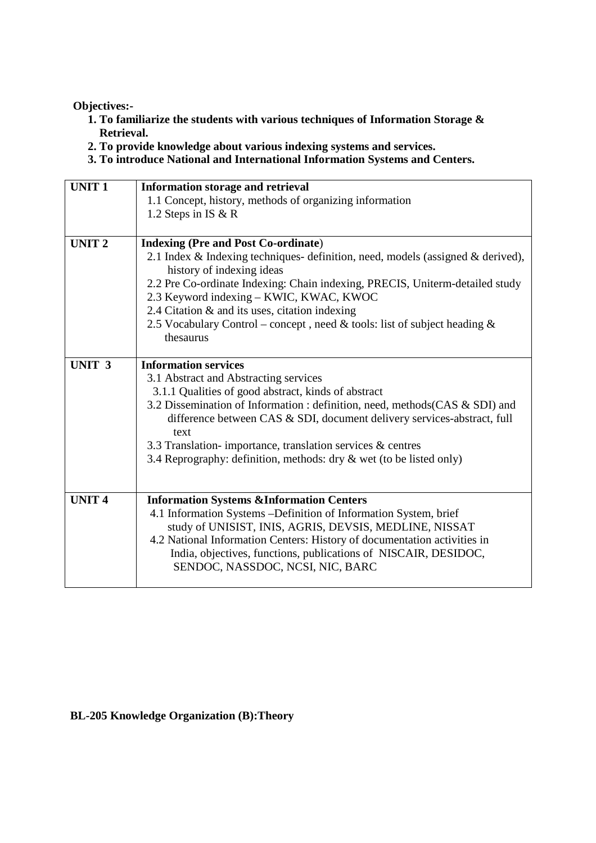- **1. To familiarize the students with various techniques of Information Storage & Retrieval.**
- **2. To provide knowledge about various indexing systems and services.**
- **3. To introduce National and International Information Systems and Centers.**

| 2.1 Index & Indexing techniques-definition, need, models (assigned & derived), |
|--------------------------------------------------------------------------------|
|                                                                                |
|                                                                                |
| 2.2 Pre Co-ordinate Indexing: Chain indexing, PRECIS, Uniterm-detailed study   |
|                                                                                |
|                                                                                |
|                                                                                |
|                                                                                |
|                                                                                |
|                                                                                |
|                                                                                |
|                                                                                |
| 3.2 Dissemination of Information : definition, need, methods (CAS & SDI) and   |
| difference between CAS & SDI, document delivery services-abstract, full        |
|                                                                                |
|                                                                                |
|                                                                                |
|                                                                                |
|                                                                                |
|                                                                                |
|                                                                                |
|                                                                                |
|                                                                                |
|                                                                                |
|                                                                                |
|                                                                                |
|                                                                                |

#### **BL-205 Knowledge Organization (B):Theory**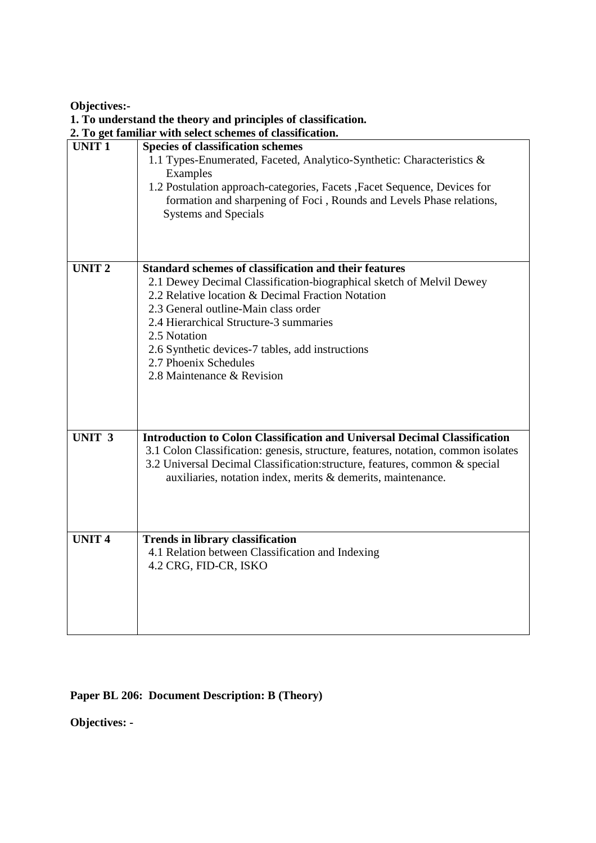|               | 1. To understand the theory and principles of classification.                                                                                                                    |
|---------------|----------------------------------------------------------------------------------------------------------------------------------------------------------------------------------|
|               | 2. To get familiar with select schemes of classification.                                                                                                                        |
| <b>UNIT1</b>  | <b>Species of classification schemes</b><br>1.1 Types-Enumerated, Faceted, Analytico-Synthetic: Characteristics &                                                                |
|               | Examples                                                                                                                                                                         |
|               | 1.2 Postulation approach-categories, Facets , Facet Sequence, Devices for<br>formation and sharpening of Foci, Rounds and Levels Phase relations,<br><b>Systems and Specials</b> |
|               |                                                                                                                                                                                  |
| <b>UNIT2</b>  | <b>Standard schemes of classification and their features</b>                                                                                                                     |
|               | 2.1 Dewey Decimal Classification-biographical sketch of Melvil Dewey                                                                                                             |
|               | 2.2 Relative location & Decimal Fraction Notation                                                                                                                                |
|               | 2.3 General outline-Main class order                                                                                                                                             |
|               | 2.4 Hierarchical Structure-3 summaries<br>2.5 Notation                                                                                                                           |
|               |                                                                                                                                                                                  |
|               | 2.6 Synthetic devices-7 tables, add instructions<br>2.7 Phoenix Schedules                                                                                                        |
|               | 2.8 Maintenance & Revision                                                                                                                                                       |
|               |                                                                                                                                                                                  |
|               |                                                                                                                                                                                  |
|               |                                                                                                                                                                                  |
|               |                                                                                                                                                                                  |
| <b>UNIT 3</b> | <b>Introduction to Colon Classification and Universal Decimal Classification</b>                                                                                                 |
|               | 3.1 Colon Classification: genesis, structure, features, notation, common isolates                                                                                                |
|               | 3.2 Universal Decimal Classification: structure, features, common & special                                                                                                      |
|               | auxiliaries, notation index, merits & demerits, maintenance.                                                                                                                     |
|               |                                                                                                                                                                                  |
|               |                                                                                                                                                                                  |
|               |                                                                                                                                                                                  |
| <b>UNIT4</b>  | <b>Trends in library classification</b>                                                                                                                                          |
|               | 4.1 Relation between Classification and Indexing                                                                                                                                 |
|               | 4.2 CRG, FID-CR, ISKO                                                                                                                                                            |
|               |                                                                                                                                                                                  |
|               |                                                                                                                                                                                  |
|               |                                                                                                                                                                                  |
|               |                                                                                                                                                                                  |
|               |                                                                                                                                                                                  |

**Paper BL 206: Document Description: B (Theory)** 

# **Objectives: -**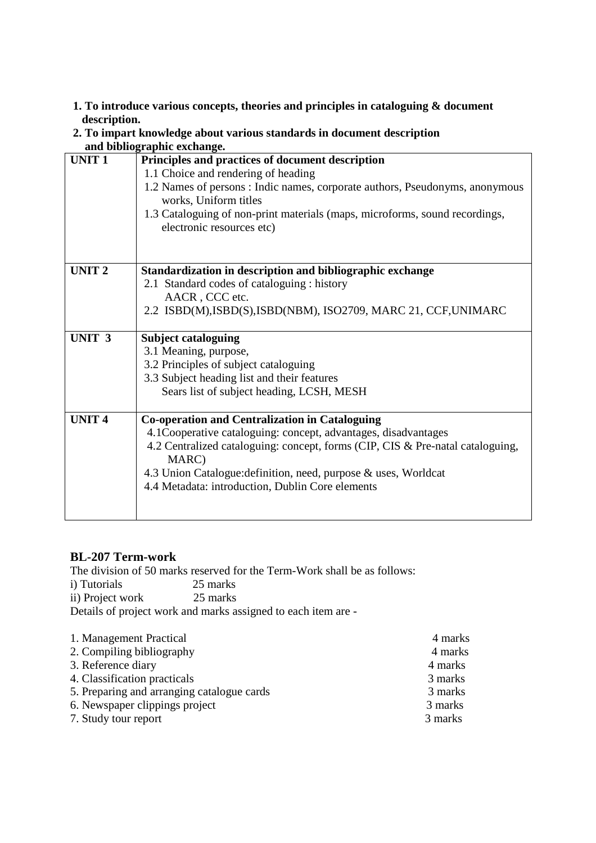#### **1. To introduce various concepts, theories and principles in cataloguing & document description.**

#### **2. To impart knowledge about various standards in document description and bibliographic exchange.**

|                   | anu bibnographic exchange.                                                                                                                                                                                                                                                                                                                |
|-------------------|-------------------------------------------------------------------------------------------------------------------------------------------------------------------------------------------------------------------------------------------------------------------------------------------------------------------------------------------|
| <b>UNIT1</b>      | Principles and practices of document description<br>1.1 Choice and rendering of heading<br>1.2 Names of persons: Indic names, corporate authors, Pseudonyms, anonymous<br>works, Uniform titles<br>1.3 Cataloguing of non-print materials (maps, microforms, sound recordings,<br>electronic resources etc)                               |
| <b>UNIT 2</b>     | Standardization in description and bibliographic exchange<br>2.1 Standard codes of cataloguing : history<br>AACR, CCC etc.                                                                                                                                                                                                                |
|                   | 2.2 ISBD(M), ISBD(S), ISBD(NBM), ISO2709, MARC 21, CCF, UNIMARC                                                                                                                                                                                                                                                                           |
| UNIT <sub>3</sub> | <b>Subject cataloguing</b><br>3.1 Meaning, purpose,<br>3.2 Principles of subject cataloguing<br>3.3 Subject heading list and their features<br>Sears list of subject heading, LCSH, MESH                                                                                                                                                  |
| <b>UNIT 4</b>     | <b>Co-operation and Centralization in Cataloguing</b><br>4.1Cooperative cataloguing: concept, advantages, disadvantages<br>4.2 Centralized cataloguing: concept, forms (CIP, CIS & Pre-natal cataloguing,<br>MARC)<br>4.3 Union Catalogue: definition, need, purpose & uses, Worldcat<br>4.4 Metadata: introduction, Dublin Core elements |

# **BL-207 Term-work**

The division of 50 marks reserved for the Term-Work shall be as follows:

i) Tutorials 25 marks<br>ii) Project work 25 marks ii) Project work Details of project work and marks assigned to each item are -

| 1. Management Practical                    | 4 marks |
|--------------------------------------------|---------|
| 2. Compiling bibliography                  | 4 marks |
| 3. Reference diary                         | 4 marks |
| 4. Classification practicals               | 3 marks |
| 5. Preparing and arranging catalogue cards | 3 marks |
| 6. Newspaper clippings project             | 3 marks |
| 7. Study tour report                       | 3 marks |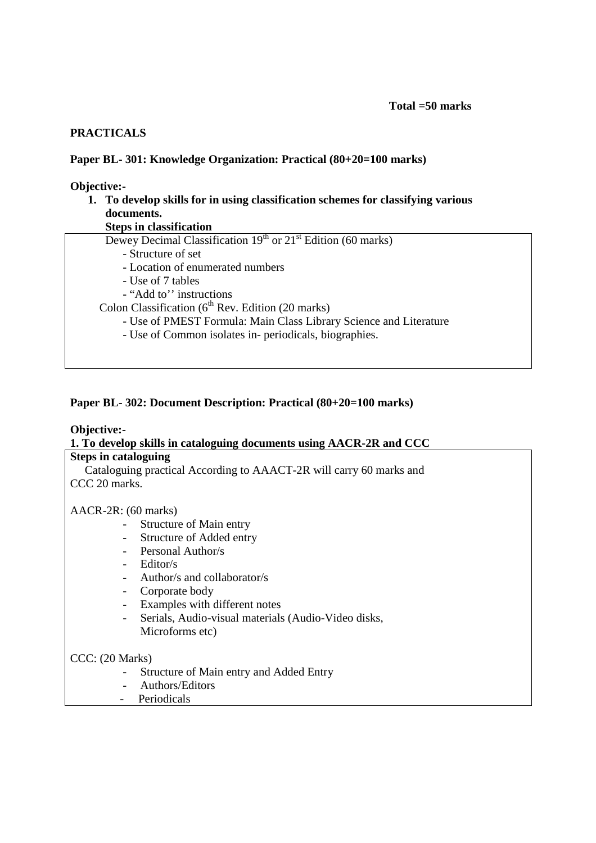#### **PRACTICALS**

#### **Paper BL- 301: Knowledge Organization: Practical (80+20=100 marks)**

#### **Objective:-**

# **1. To develop skills for in using classification schemes for classifying various documents.**

**Steps in classification** 

| Dewey Decimal Classification $19th$ or $21st$ Edition (60 marks) |  |  |  |  |  |
|------------------------------------------------------------------|--|--|--|--|--|
|------------------------------------------------------------------|--|--|--|--|--|

- Structure of set
- Location of enumerated numbers
- Use of 7 tables
- "Add to'' instructions

Colon Classification  $(6<sup>th</sup>$  Rev. Edition (20 marks)

- Use of PMEST Formula: Main Class Library Science and Literature
- Use of Common isolates in- periodicals, biographies.

#### **Paper BL- 302: Document Description: Practical (80+20=100 marks)**

# **Objective:-**

# **1. To develop skills in cataloguing documents using AACR-2R and CCC**

# **Steps in cataloguing**

Cataloguing practical According to AAACT-2R will carry 60 marks and CCC 20 marks.

#### AACR-2R: (60 marks)

- Structure of Main entry
- Structure of Added entry
- Personal Author/s
- Editor/s
- Author/s and collaborator/s
- Corporate body
- Examples with different notes
- Serials, Audio-visual materials (Audio-Video disks, Microforms etc)

#### CCC: (20 Marks)

- Structure of Main entry and Added Entry
- Authors/Editors
- Periodicals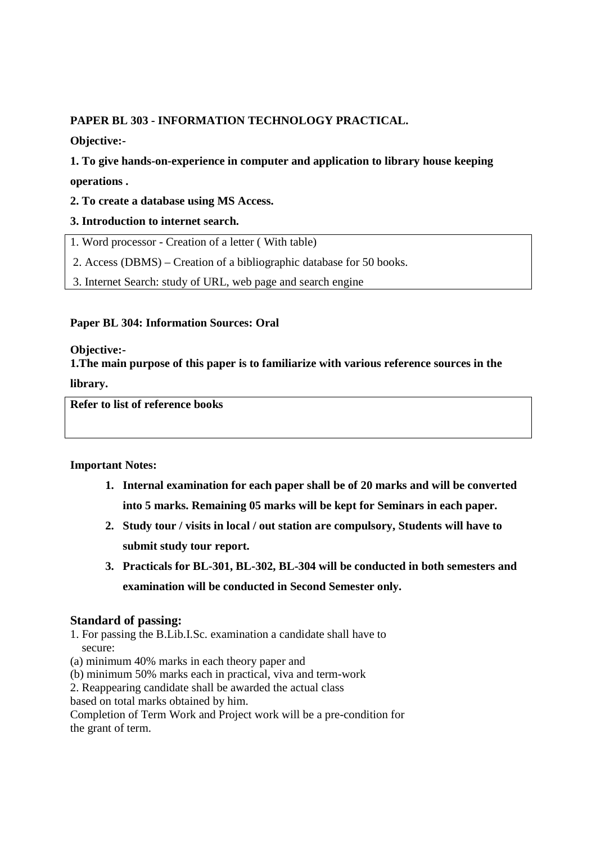# **PAPER BL 303 - INFORMATION TECHNOLOGY PRACTICAL.**

**Objective:-** 

**1. To give hands-on-experience in computer and application to library house keeping operations .** 

# **2. To create a database using MS Access.**

# **3. Introduction to internet search.**

1. Word processor - Creation of a letter ( With table)

2. Access (DBMS) – Creation of a bibliographic database for 50 books.

3. Internet Search: study of URL, web page and search engine

# **Paper BL 304: Information Sources: Oral**

**Objective:-** 

**1.The main purpose of this paper is to familiarize with various reference sources in the** 

**library.**

**Refer to list of reference books** 

# **Important Notes:**

- **1. Internal examination for each paper shall be of 20 marks and will be converted into 5 marks. Remaining 05 marks will be kept for Seminars in each paper.**
- **2. Study tour / visits in local / out station are compulsory, Students will have to submit study tour report.**
- **3. Practicals for BL-301, BL-302, BL-304 will be conducted in both semesters and examination will be conducted in Second Semester only.**

# **Standard of passing:**

1. For passing the B.Lib.I.Sc. examination a candidate shall have to secure:

(a) minimum 40% marks in each theory paper and

(b) minimum 50% marks each in practical, viva and term-work

2. Reappearing candidate shall be awarded the actual class

based on total marks obtained by him.

Completion of Term Work and Project work will be a pre-condition for the grant of term.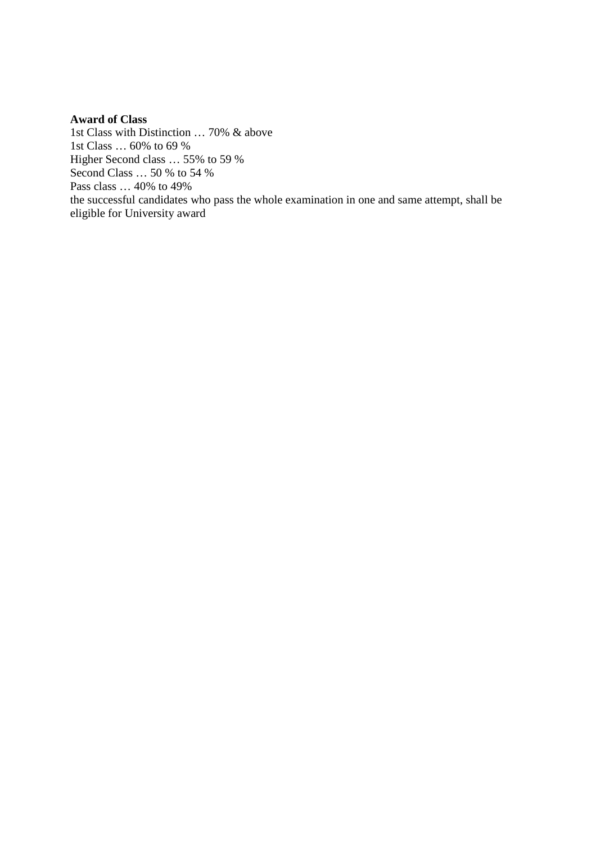#### **Award of Class**

1st Class with Distinction … 70% & above 1st Class … 60% to 69 % Higher Second class … 55% to 59 % Second Class … 50 % to 54 % Pass class … 40% to 49% the successful candidates who pass the whole examination in one and same attempt, shall be eligible for University award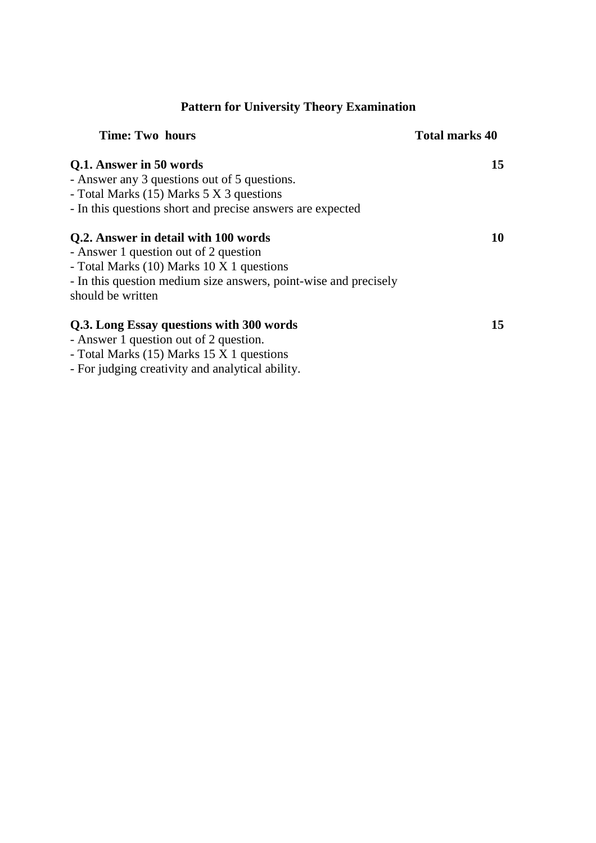# **Pattern for University Theory Examination**

| <b>Time: Two hours</b>                                           | <b>Total marks 40</b> |
|------------------------------------------------------------------|-----------------------|
| Q.1. Answer in 50 words                                          | 15                    |
| - Answer any 3 questions out of 5 questions.                     |                       |
| - Total Marks (15) Marks 5 X 3 questions                         |                       |
| - In this questions short and precise answers are expected       |                       |
| Q.2. Answer in detail with 100 words                             | 10                    |
| - Answer 1 question out of 2 question                            |                       |
| - Total Marks (10) Marks 10 X 1 questions                        |                       |
| - In this question medium size answers, point-wise and precisely |                       |
| should be written                                                |                       |
| Q.3. Long Essay questions with 300 words                         | 15                    |
| - Answer 1 question out of 2 question.                           |                       |

- Total Marks (15) Marks 15 X 1 questions

- For judging creativity and analytical ability.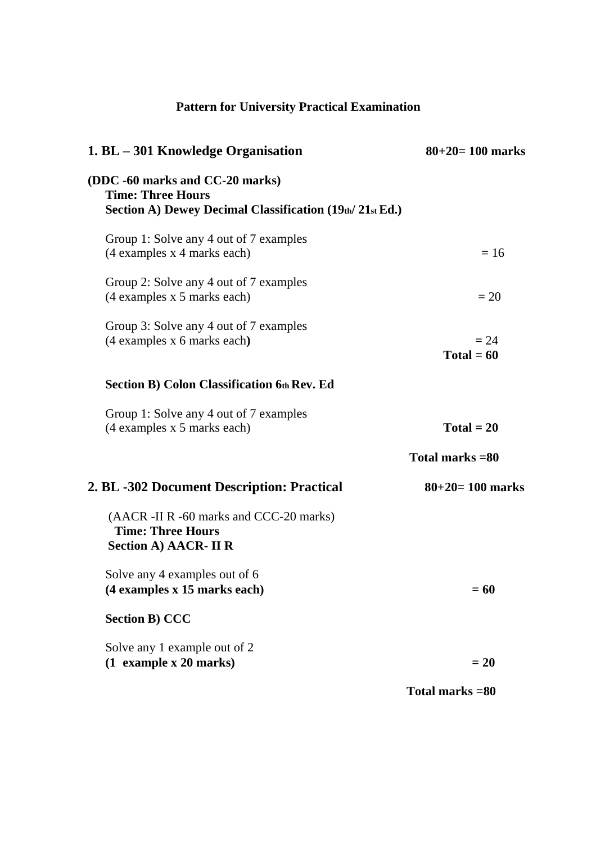# **Pattern for University Practical Examination**

| 1. BL - 301 Knowledge Organisation                                                                                        | $80+20=100$ marks      |
|---------------------------------------------------------------------------------------------------------------------------|------------------------|
| (DDC -60 marks and CC-20 marks)<br><b>Time: Three Hours</b><br>Section A) Dewey Decimal Classification $(19th/ 21st Ed.)$ |                        |
| Group 1: Solve any 4 out of 7 examples<br>(4 examples x 4 marks each)                                                     | $= 16$                 |
| Group 2: Solve any 4 out of 7 examples<br>(4 examples x 5 marks each)                                                     | $=20$                  |
| Group 3: Solve any 4 out of 7 examples<br>(4 examples x 6 marks each)                                                     | $= 24$<br>$Total = 60$ |
| <b>Section B) Colon Classification 6th Rev. Ed</b>                                                                        |                        |
| Group 1: Solve any 4 out of 7 examples<br>(4 examples x 5 marks each)                                                     | $Total = 20$           |
|                                                                                                                           | Total marks = 80       |
| 2. BL -302 Document Description: Practical                                                                                | $80+20=100$ marks      |
| (AACR -II R -60 marks and CCC-20 marks)<br><b>Time: Three Hours</b><br>Section A) AACR- II R                              |                        |
| Solve any 4 examples out of 6<br>(4 examples x 15 marks each)                                                             | $= 60$                 |
| <b>Section B) CCC</b>                                                                                                     |                        |
| Solve any 1 example out of 2<br>$(1$ example x 20 marks)                                                                  | $= 20$                 |
|                                                                                                                           | Total marks = 80       |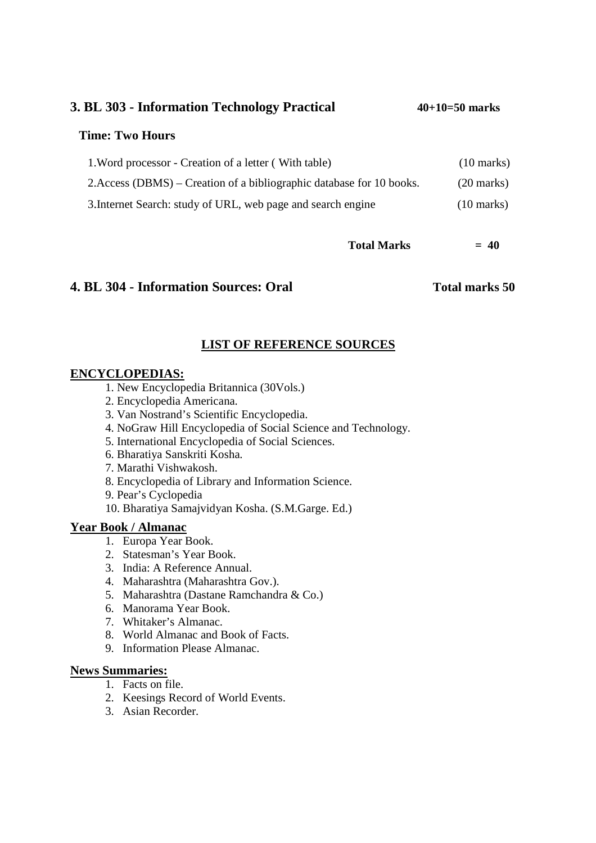**3. BL 303 - Information Technology Practical 40+10=50 marks**

#### **Time: Two Hours**

| 1. Word processor - Creation of a letter (With table)                 | $(10 \text{ marks})$ |
|-----------------------------------------------------------------------|----------------------|
| 2. Access (DBMS) – Creation of a bibliographic database for 10 books. | $(20 \text{ marks})$ |
| 3. Internet Search: study of URL, web page and search engine          | $(10 \text{ marks})$ |

 $Total Marks = 40$ 

# **4. BL 304 - Information Sources: Oral Total marks 50**

# **LIST OF REFERENCE SOURCES**

# **ENCYCLOPEDIAS:**

- 1. New Encyclopedia Britannica (30Vols.)
- 2. Encyclopedia Americana.
- 3. Van Nostrand's Scientific Encyclopedia.
- 4. NoGraw Hill Encyclopedia of Social Science and Technology.
- 5. International Encyclopedia of Social Sciences.
- 6. Bharatiya Sanskriti Kosha.
- 7. Marathi Vishwakosh.
- 8. Encyclopedia of Library and Information Science.
- 9. Pear's Cyclopedia
- 10. Bharatiya Samajvidyan Kosha. (S.M.Garge. Ed.)

# **Year Book / Almanac**

- 1. Europa Year Book.
- 2. Statesman's Year Book.
- 3. India: A Reference Annual.
- 4. Maharashtra (Maharashtra Gov.).
- 5. Maharashtra (Dastane Ramchandra & Co.)
- 6. Manorama Year Book.
- 7. Whitaker's Almanac.
- 8. World Almanac and Book of Facts.
- 9. Information Please Almanac.

# **News Summaries:**

- 1. Facts on file.
- 2. Keesings Record of World Events.
- 3. Asian Recorder.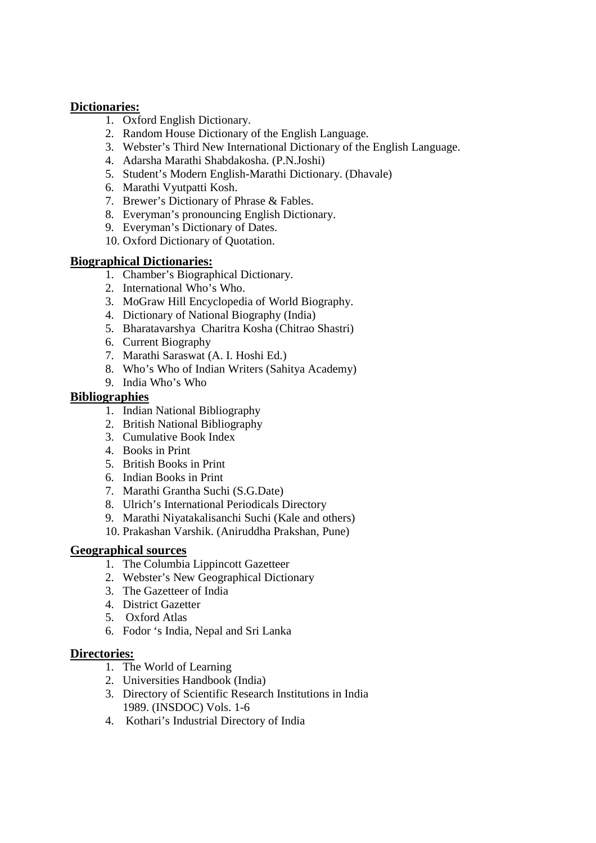# **Dictionaries:**

- 1. Oxford English Dictionary.
- 2. Random House Dictionary of the English Language.
- 3. Webster's Third New International Dictionary of the English Language.
- 4. Adarsha Marathi Shabdakosha. (P.N.Joshi)
- 5. Student's Modern English-Marathi Dictionary. (Dhavale)
- 6. Marathi Vyutpatti Kosh.
- 7. Brewer's Dictionary of Phrase & Fables.
- 8. Everyman's pronouncing English Dictionary.
- 9. Everyman's Dictionary of Dates.
- 10. Oxford Dictionary of Quotation.

# **Biographical Dictionaries:**

- 1. Chamber's Biographical Dictionary.
- 2. International Who's Who.
- 3. MoGraw Hill Encyclopedia of World Biography.
- 4. Dictionary of National Biography (India)
- 5. Bharatavarshya Charitra Kosha (Chitrao Shastri)
- 6. Current Biography
- 7. Marathi Saraswat (A. I. Hoshi Ed.)
- 8. Who's Who of Indian Writers (Sahitya Academy)
- 9. India Who's Who

# **Bibliographies**

- 1. Indian National Bibliography
- 2. British National Bibliography
- 3. Cumulative Book Index
- 4. Books in Print
- 5. British Books in Print
- 6. Indian Books in Print
- 7. Marathi Grantha Suchi (S.G.Date)
- 8. Ulrich's International Periodicals Directory
- 9. Marathi Niyatakalisanchi Suchi (Kale and others)
- 10. Prakashan Varshik. (Aniruddha Prakshan, Pune)

# **Geographical sources**

- 1. The Columbia Lippincott Gazetteer
- 2. Webster's New Geographical Dictionary
- 3. The Gazetteer of India
- 4. District Gazetter
- 5. Oxford Atlas
- 6. Fodor 's India, Nepal and Sri Lanka

# **Directories:**

- 1. The World of Learning
- 2. Universities Handbook (India)
- 3. Directory of Scientific Research Institutions in India 1989. (INSDOC) Vols. 1-6
- 4. Kothari's Industrial Directory of India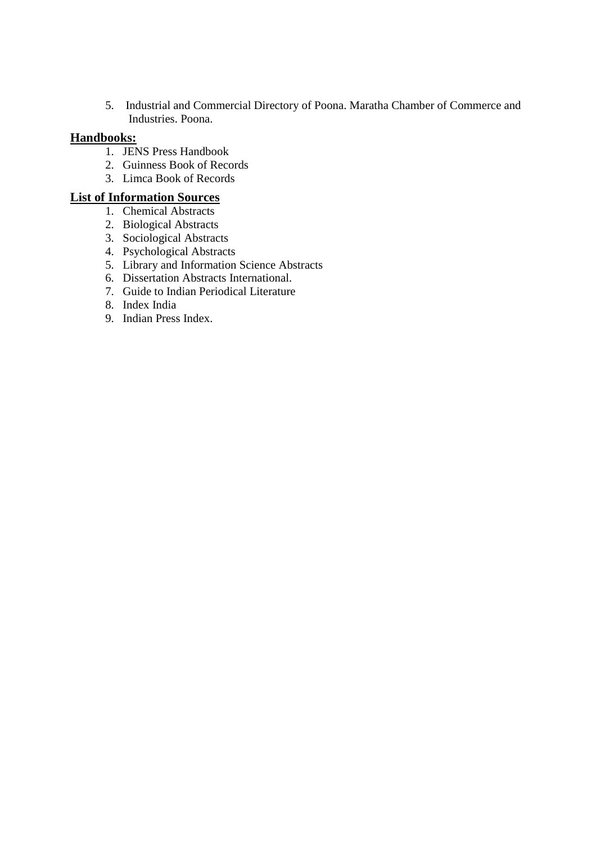5. Industrial and Commercial Directory of Poona. Maratha Chamber of Commerce and Industries. Poona.

# **Handbooks:**

- 1. JENS Press Handbook
- 2. Guinness Book of Records
- 3. Limca Book of Records

# **List of Information Sources**

- 1. Chemical Abstracts
- 2. Biological Abstracts
- 3. Sociological Abstracts
- 4. Psychological Abstracts
- 5. Library and Information Science Abstracts
- 6. Dissertation Abstracts International.
- 7. Guide to Indian Periodical Literature
- 8. Index India
- 9. Indian Press Index.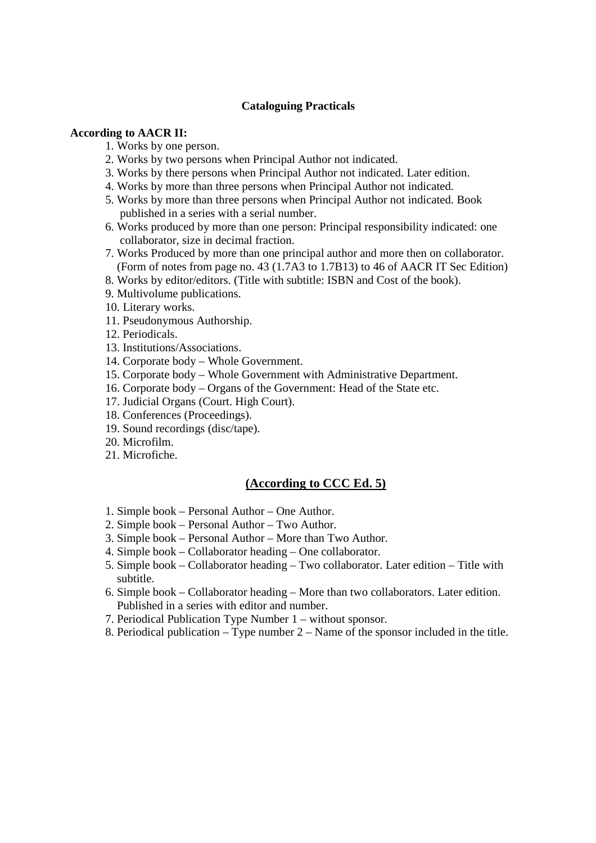#### **Cataloguing Practicals**

#### **According to AACR II:**

- 1. Works by one person.
- 2. Works by two persons when Principal Author not indicated.
- 3. Works by there persons when Principal Author not indicated. Later edition.
- 4. Works by more than three persons when Principal Author not indicated.
- 5. Works by more than three persons when Principal Author not indicated. Book published in a series with a serial number.
- 6. Works produced by more than one person: Principal responsibility indicated: one collaborator, size in decimal fraction.
- 7. Works Produced by more than one principal author and more then on collaborator. (Form of notes from page no. 43 (1.7A3 to 1.7B13) to 46 of AACR IT Sec Edition)
- 8. Works by editor/editors. (Title with subtitle: ISBN and Cost of the book).
- 9. Multivolume publications.
- 10. Literary works.
- 11. Pseudonymous Authorship.
- 12. Periodicals.
- 13. Institutions/Associations.
- 14. Corporate body Whole Government.
- 15. Corporate body Whole Government with Administrative Department.
- 16. Corporate body Organs of the Government: Head of the State etc.
- 17. Judicial Organs (Court. High Court).
- 18. Conferences (Proceedings).
- 19. Sound recordings (disc/tape).
- 20. Microfilm.
- 21. Microfiche.

#### **(According to CCC Ed. 5)**

- 1. Simple book Personal Author One Author.
- 2. Simple book Personal Author Two Author.
- 3. Simple book Personal Author More than Two Author.
- 4. Simple book Collaborator heading One collaborator.
- 5. Simple book Collaborator heading Two collaborator. Later edition Title with subtitle.
- 6. Simple book Collaborator heading More than two collaborators. Later edition. Published in a series with editor and number.
- 7. Periodical Publication Type Number 1 without sponsor.
- 8. Periodical publication Type number 2 Name of the sponsor included in the title.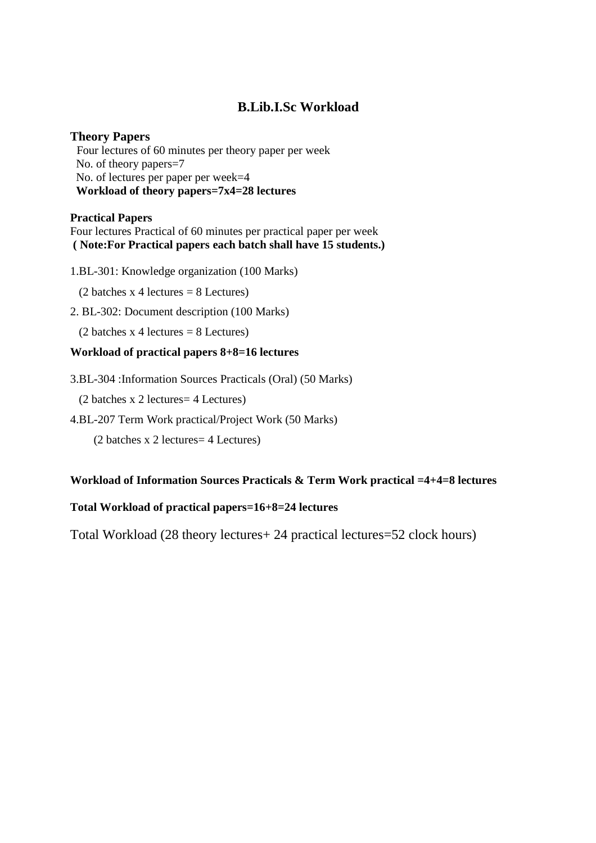# **B.Lib.I.Sc Workload**

#### **Theory Papers**

Four lectures of 60 minutes per theory paper per week No. of theory papers=7 No. of lectures per paper per week=4 **Workload of theory papers=7x4=28 lectures** 

#### **Practical Papers**

Four lectures Practical of 60 minutes per practical paper per week  **( Note:For Practical papers each batch shall have 15 students.)** 

1.BL-301: Knowledge organization (100 Marks)

 $(2 \text{ batches } x 4 \text{ lectures} = 8 \text{ Lectures})$ 

2. BL-302: Document description (100 Marks)

 $(2 \text{ batches } x 4 \text{ lectures} = 8 \text{ Lectures})$ 

#### **Workload of practical papers 8+8=16 lectures**

3.BL-304 :Information Sources Practicals (Oral) (50 Marks)

(2 batches x 2 lectures= 4 Lectures)

4.BL-207 Term Work practical/Project Work (50 Marks)

(2 batches x 2 lectures= 4 Lectures)

#### **Workload of Information Sources Practicals & Term Work practical =4+4=8 lectures**

#### **Total Workload of practical papers=16+8=24 lectures**

Total Workload (28 theory lectures+ 24 practical lectures=52 clock hours)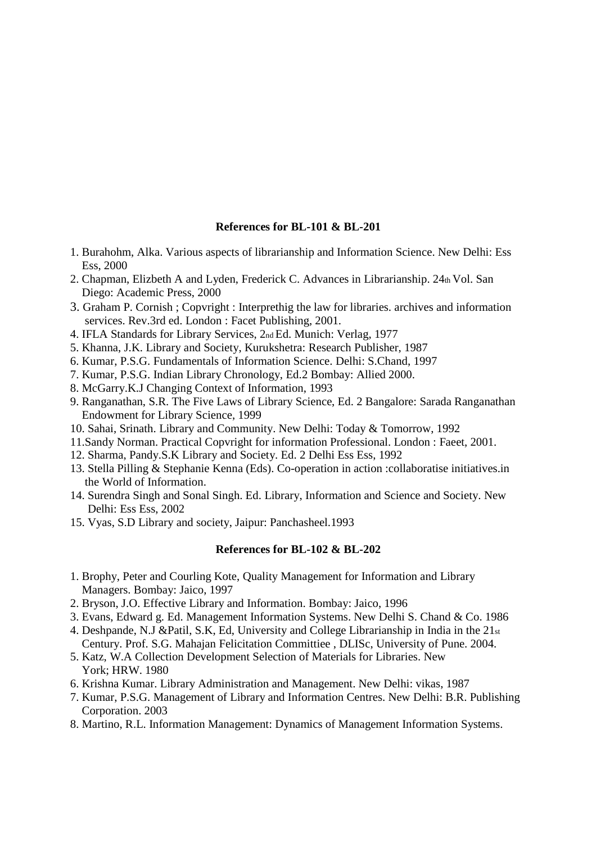#### **References for BL-101 & BL-201**

- 1. Burahohm, Alka. Various aspects of librarianship and Information Science. New Delhi: Ess Ess, 2000
- 2. Chapman, Elizbeth A and Lyden, Frederick C. Advances in Librarianship. 24th Vol. San Diego: Academic Press, 2000
- 3. Graham P. Cornish ; Copvright : Interprethig the law for libraries. archives and information services. Rev.3rd ed. London : Facet Publishing, 2001.
- 4. IFLA Standards for Library Services, 2nd Ed. Munich: Verlag, 1977
- 5. Khanna, J.K. Library and Society, Kurukshetra: Research Publisher, 1987
- 6. Kumar, P.S.G. Fundamentals of Information Science. Delhi: S.Chand, 1997
- 7. Kumar, P.S.G. Indian Library Chronology, Ed.2 Bombay: Allied 2000.
- 8. McGarry.K.J Changing Context of Information, 1993
- 9. Ranganathan, S.R. The Five Laws of Library Science, Ed. 2 Bangalore: Sarada Ranganathan Endowment for Library Science, 1999
- 10. Sahai, Srinath. Library and Community. New Delhi: Today & Tomorrow, 1992
- 11.Sandy Norman. Practical Copvright for information Professional. London : Faeet, 2001.
- 12. Sharma, Pandy.S.K Library and Society. Ed. 2 Delhi Ess Ess, 1992
- 13. Stella Pilling & Stephanie Kenna (Eds). Co-operation in action :collaboratise initiatives.in the World of Information.
- 14. Surendra Singh and Sonal Singh. Ed. Library, Information and Science and Society. New Delhi: Ess Ess, 2002
- 15. Vyas, S.D Library and society, Jaipur: Panchasheel.1993

#### **References for BL-102 & BL-202**

- 1. Brophy, Peter and Courling Kote, Quality Management for Information and Library Managers. Bombay: Jaico, 1997
- 2. Bryson, J.O. Effective Library and Information. Bombay: Jaico, 1996
- 3. Evans, Edward g. Ed. Management Information Systems. New Delhi S. Chand & Co. 1986
- 4. Deshpande, N.J &Patil, S.K, Ed, University and College Librarianship in India in the 21st Century. Prof. S.G. Mahajan Felicitation Committiee , DLISc, University of Pune. 2004.
- 5. Katz, W.A Collection Development Selection of Materials for Libraries. New York; HRW. 1980
- 6. Krishna Kumar. Library Administration and Management. New Delhi: vikas, 1987
- 7. Kumar, P.S.G. Management of Library and Information Centres. New Delhi: B.R. Publishing Corporation. 2003
- 8. Martino, R.L. Information Management: Dynamics of Management Information Systems.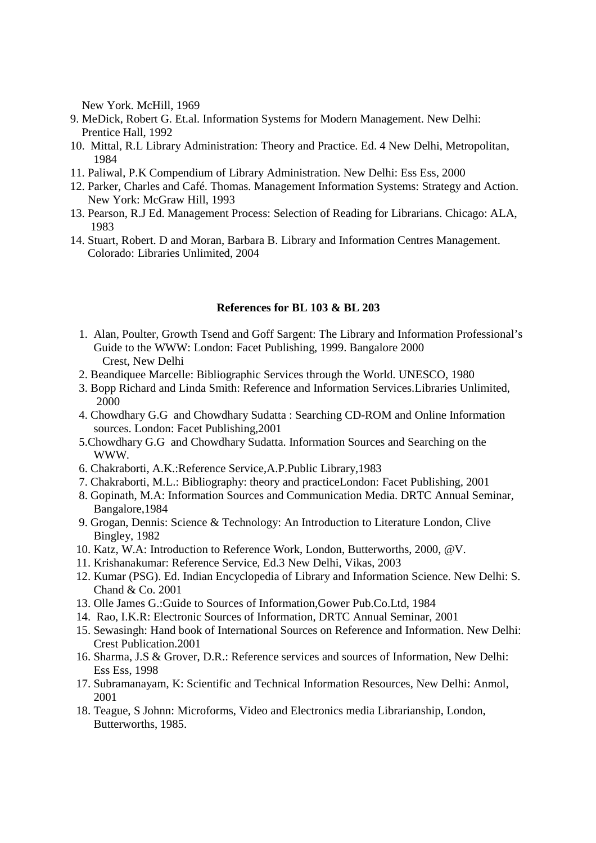New York. McHill, 1969

- 9. MeDick, Robert G. Et.al. Information Systems for Modern Management. New Delhi: Prentice Hall, 1992
- 10. Mittal, R.L Library Administration: Theory and Practice. Ed. 4 New Delhi, Metropolitan, 1984
- 11. Paliwal, P.K Compendium of Library Administration. New Delhi: Ess Ess, 2000
- 12. Parker, Charles and Café. Thomas. Management Information Systems: Strategy and Action. New York: McGraw Hill, 1993
- 13. Pearson, R.J Ed. Management Process: Selection of Reading for Librarians. Chicago: ALA, 1983
- 14. Stuart, Robert. D and Moran, Barbara B. Library and Information Centres Management. Colorado: Libraries Unlimited, 2004

#### **References for BL 103 & BL 203**

- 1. Alan, Poulter, Growth Tsend and Goff Sargent: The Library and Information Professional's Guide to the WWW: London: Facet Publishing, 1999. Bangalore 2000 Crest, New Delhi
- 2. Beandiquee Marcelle: Bibliographic Services through the World. UNESCO, 1980
- 3. Bopp Richard and Linda Smith: Reference and Information Services.Libraries Unlimited, 2000
- 4. Chowdhary G.G and Chowdhary Sudatta : Searching CD-ROM and Online Information sources. London: Facet Publishing,2001
- 5.Chowdhary G.G and Chowdhary Sudatta. Information Sources and Searching on the WWW.
- 6. Chakraborti, A.K.:Reference Service,A.P.Public Library,1983
- 7. Chakraborti, M.L.: Bibliography: theory and practiceLondon: Facet Publishing, 2001
- 8. Gopinath, M.A: Information Sources and Communication Media. DRTC Annual Seminar, Bangalore,1984
- 9. Grogan, Dennis: Science & Technology: An Introduction to Literature London, Clive Bingley, 1982
- 10. Katz, W.A: Introduction to Reference Work, London, Butterworths, 2000, @V.
- 11. Krishanakumar: Reference Service, Ed.3 New Delhi, Vikas, 2003
- 12. Kumar (PSG). Ed. Indian Encyclopedia of Library and Information Science. New Delhi: S. Chand & Co. 2001
- 13. Olle James G.:Guide to Sources of Information,Gower Pub.Co.Ltd, 1984
- 14. Rao, I.K.R: Electronic Sources of Information, DRTC Annual Seminar, 2001
- 15. Sewasingh: Hand book of International Sources on Reference and Information. New Delhi: Crest Publication.2001
- 16. Sharma, J.S & Grover, D.R.: Reference services and sources of Information, New Delhi: Ess Ess, 1998
- 17. Subramanayam, K: Scientific and Technical Information Resources, New Delhi: Anmol, 2001
- 18. Teague, S Johnn: Microforms, Video and Electronics media Librarianship, London, Butterworths, 1985.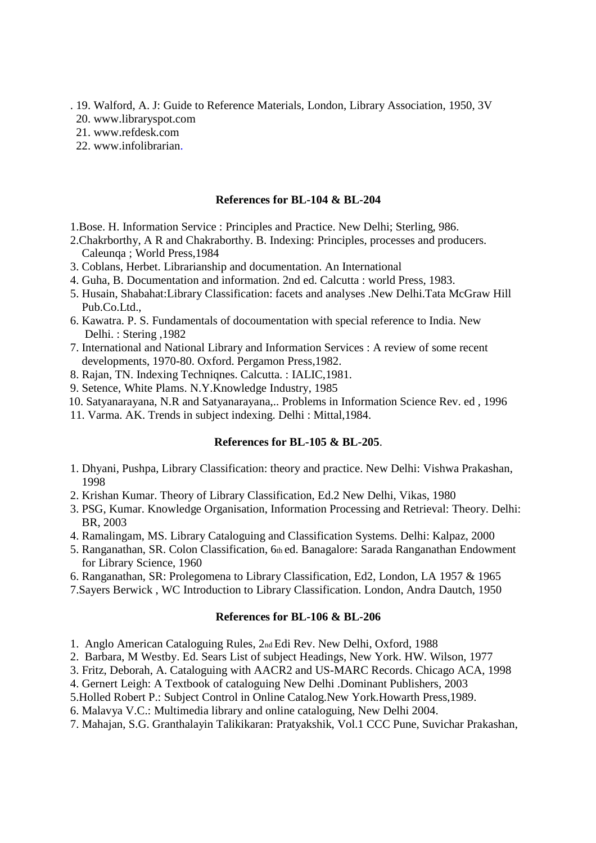- . 19. Walford, A. J: Guide to Reference Materials, London, Library Association, 1950, 3V
- 20. www.libraryspot.com
- 21. www.refdesk.com
- 22. www.infolibrarian.

#### **References for BL-104 & BL-204**

- 1.Bose. H. Information Service : Principles and Practice. New Delhi; Sterling, 986.
- 2.Chakrborthy, A R and Chakraborthy. B. Indexing: Principles, processes and producers. Caleunqa ; World Press,1984
- 3. Coblans, Herbet. Librarianship and documentation. An International
- 4. Guha, B. Documentation and information. 2nd ed. Calcutta : world Press, 1983.
- 5. Husain, Shabahat:Library Classification: facets and analyses .New Delhi.Tata McGraw Hill Pub.Co.Ltd.,
- 6. Kawatra. P. S. Fundamentals of docoumentation with special reference to India. New Delhi. : Stering ,1982
- 7. International and National Library and Information Services : A review of some recent developments, 1970-80. Oxford. Pergamon Press,1982.
- 8. Rajan, TN. Indexing Techniqnes. Calcutta. : IALIC,1981.
- 9. Setence, White Plams. N.Y.Knowledge Industry, 1985
- 10. Satyanarayana, N.R and Satyanarayana,.. Problems in Information Science Rev. ed , 1996
- 11. Varma. AK. Trends in subject indexing. Delhi : Mittal,1984.

#### **References for BL-105 & BL-205**.

- 1. Dhyani, Pushpa, Library Classification: theory and practice. New Delhi: Vishwa Prakashan, 1998
- 2. Krishan Kumar. Theory of Library Classification, Ed.2 New Delhi, Vikas, 1980
- 3. PSG, Kumar. Knowledge Organisation, Information Processing and Retrieval: Theory. Delhi: BR, 2003
- 4. Ramalingam, MS. Library Cataloguing and Classification Systems. Delhi: Kalpaz, 2000
- 5. Ranganathan, SR. Colon Classification, 6th ed. Banagalore: Sarada Ranganathan Endowment for Library Science, 1960
- 6. Ranganathan, SR: Prolegomena to Library Classification, Ed2, London, LA 1957 & 1965
- 7.Sayers Berwick , WC Introduction to Library Classification. London, Andra Dautch, 1950

#### **References for BL-106 & BL-206**

- 1. Anglo American Cataloguing Rules, 2nd Edi Rev. New Delhi, Oxford, 1988
- 2. Barbara, M Westby. Ed. Sears List of subject Headings, New York. HW. Wilson, 1977
- 3. Fritz, Deborah, A. Cataloguing with AACR2 and US-MARC Records. Chicago ACA, 1998
- 4. Gernert Leigh: A Textbook of cataloguing New Delhi .Dominant Publishers, 2003
- 5.Holled Robert P.: Subject Control in Online Catalog.New York.Howarth Press,1989.
- 6. Malavya V.C.: Multimedia library and online cataloguing, New Delhi 2004.
- 7. Mahajan, S.G. Granthalayin Talikikaran: Pratyakshik, Vol.1 CCC Pune, Suvichar Prakashan,